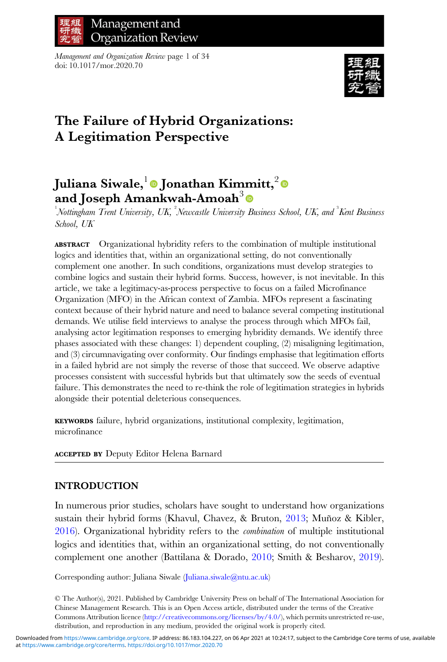

Management and Organization Review page 1 of 34 doi: 10.1017/mor.2020.70



# The Failure of Hybrid Organizations: A Legitimation Perspective

# Juliana Siwale,  $\overline{\bullet}$  Jonathan Kimmitt,  $\overline{\bullet}$ and Joseph Amankwah-Amoah<sup>3</sup>

Nottingham Trent University, UK, <sup>2</sup>Newcastle University Business School, UK, and <sup>3</sup>Kent Business School, UK

ABSTRACT Organizational hybridity refers to the combination of multiple institutional logics and identities that, within an organizational setting, do not conventionally complement one another. In such conditions, organizations must develop strategies to combine logics and sustain their hybrid forms. Success, however, is not inevitable. In this article, we take a legitimacy-as-process perspective to focus on a failed Microfinance Organization (MFO) in the African context of Zambia. MFOs represent a fascinating context because of their hybrid nature and need to balance several competing institutional demands. We utilise field interviews to analyse the process through which MFOs fail, analysing actor legitimation responses to emerging hybridity demands. We identify three phases associated with these changes: 1) dependent coupling, (2) misaligning legitimation, and (3) circumnavigating over conformity. Our findings emphasise that legitimation efforts in a failed hybrid are not simply the reverse of those that succeed. We observe adaptive processes consistent with successful hybrids but that ultimately sow the seeds of eventual failure. This demonstrates the need to re-think the role of legitimation strategies in hybrids alongside their potential deleterious consequences.

KEYWORDS failure, hybrid organizations, institutional complexity, legitimation, microfinance

ACCEPTED BY Deputy Editor Helena Barnard

# INTRODUCTION

In numerous prior studies, scholars have sought to understand how organizations sustain their hybrid forms (Khavul, Chavez, & Bruton, [2013;](#page-31-0) Muñoz & Kibler, [2016\)](#page-32-0). Organizational hybridity refers to the combination of multiple institutional logics and identities that, within an organizational setting, do not conventionally complement one another (Battilana & Dorado, [2010;](#page-29-0) Smith & Besharov, [2019](#page-32-0)).

Corresponding author: Juliana Siwale [\(Juliana.siwale@ntu.ac.uk\)](mailto:Juliana.siwale@ntu.ac.uk)

© The Author(s), 2021. Published by Cambridge University Press on behalf of The International Association for Chinese Management Research. This is an Open Access article, distributed under the terms of the Creative Commons Attribution licence ([http://creativecommons.org/licenses/by/4.0/\)](http://creativecommons.org/licenses/by/4.0/), which permits unrestricted re-use, distribution, and reproduction in any medium, provided the original work is properly cited.

at [https://www.cambridge.org/core/terms.](https://www.cambridge.org/core/terms) <https://doi.org/10.1017/mor.2020.70> Downloaded from [https://www.cambridge.org/core.](https://www.cambridge.org/core) IP address: 86.183.104.227, on 06 Apr 2021 at 10:24:17, subject to the Cambridge Core terms of use, available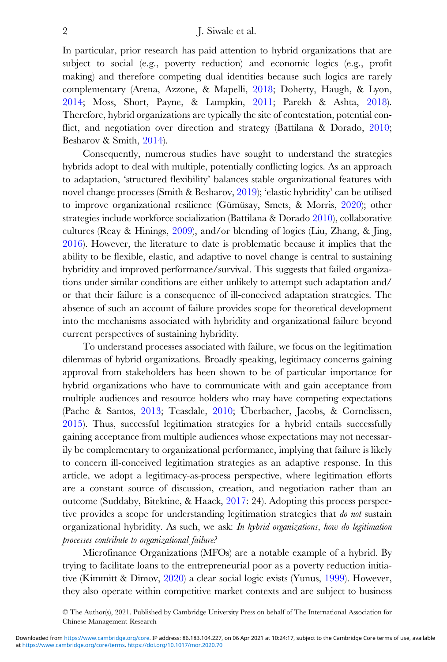In particular, prior research has paid attention to hybrid organizations that are subject to social (e.g., poverty reduction) and economic logics (e.g., profit making) and therefore competing dual identities because such logics are rarely complementary (Arena, Azzone, & Mapelli, [2018;](#page-29-0) Doherty, Haugh, & Lyon, [2014](#page-30-0); Moss, Short, Payne, & Lumpkin, [2011;](#page-32-0) Parekh & Ashta, [2018\)](#page-32-0). Therefore, hybrid organizations are typically the site of contestation, potential conflict, and negotiation over direction and strategy (Battilana & Dorado, [2010;](#page-29-0) Besharov & Smith, [2014](#page-29-0)).

Consequently, numerous studies have sought to understand the strategies hybrids adopt to deal with multiple, potentially conflicting logics. As an approach to adaptation, 'structured flexibility' balances stable organizational features with novel change processes (Smith & Besharov, [2019](#page-32-0)); 'elastic hybridity' can be utilised to improve organizational resilience (Gümüsay, Smets, & Morris, [2020\)](#page-31-0); other strategies include workforce socialization (Battilana & Dorado [2010\)](#page-29-0), collaborative cultures (Reay & Hinings, [2009](#page-32-0)), and/or blending of logics (Liu, Zhang, & Jing, [2016](#page-31-0)). However, the literature to date is problematic because it implies that the ability to be flexible, elastic, and adaptive to novel change is central to sustaining hybridity and improved performance/survival. This suggests that failed organizations under similar conditions are either unlikely to attempt such adaptation and/ or that their failure is a consequence of ill-conceived adaptation strategies. The absence of such an account of failure provides scope for theoretical development into the mechanisms associated with hybridity and organizational failure beyond current perspectives of sustaining hybridity.

To understand processes associated with failure, we focus on the legitimation dilemmas of hybrid organizations. Broadly speaking, legitimacy concerns gaining approval from stakeholders has been shown to be of particular importance for hybrid organizations who have to communicate with and gain acceptance from multiple audiences and resource holders who may have competing expectations (Pache & Santos, [2013](#page-32-0); Teasdale, [2010](#page-32-0); Überbacher, Jacobs, & Cornelissen, [2015](#page-33-0)). Thus, successful legitimation strategies for a hybrid entails successfully gaining acceptance from multiple audiences whose expectations may not necessarily be complementary to organizational performance, implying that failure is likely to concern ill-conceived legitimation strategies as an adaptive response. In this article, we adopt a legitimacy-as-process perspective, where legitimation efforts are a constant source of discussion, creation, and negotiation rather than an outcome (Suddaby, Bitektine, & Haack, [2017:](#page-32-0) 24). Adopting this process perspective provides a scope for understanding legitimation strategies that *do not* sustain organizational hybridity. As such, we ask: In hybrid organizations, how do legitimation processes contribute to organizational failure?

Microfinance Organizations (MFOs) are a notable example of a hybrid. By trying to facilitate loans to the entrepreneurial poor as a poverty reduction initiative (Kimmitt & Dimov, [2020\)](#page-31-0) a clear social logic exists (Yunus, [1999\)](#page-33-0). However, they also operate within competitive market contexts and are subject to business

<sup>©</sup> The Author(s), 2021. Published by Cambridge University Press on behalf of The International Association for Chinese Management Research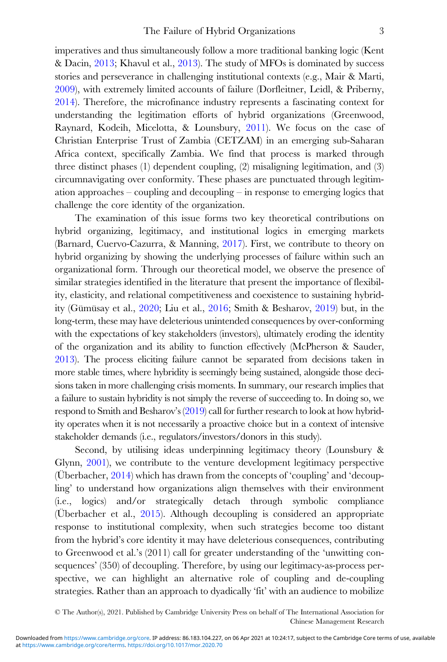imperatives and thus simultaneously follow a more traditional banking logic (Kent & Dacin, [2013](#page-31-0); Khavul et al., [2013](#page-31-0)). The study of MFOs is dominated by success stories and perseverance in challenging institutional contexts (e.g., Mair & Marti, [2009\)](#page-31-0), with extremely limited accounts of failure (Dorfleitner, Leidl, & Priberny, [2014\)](#page-30-0). Therefore, the microfinance industry represents a fascinating context for understanding the legitimation efforts of hybrid organizations (Greenwood, Raynard, Kodeih, Micelotta, & Lounsbury, [2011](#page-30-0)). We focus on the case of Christian Enterprise Trust of Zambia (CETZAM) in an emerging sub-Saharan Africa context, specifically Zambia. We find that process is marked through three distinct phases (1) dependent coupling, (2) misaligning legitimation, and (3) circumnavigating over conformity. These phases are punctuated through legitimation approaches – coupling and decoupling – in response to emerging logics that challenge the core identity of the organization.

The examination of this issue forms two key theoretical contributions on hybrid organizing, legitimacy, and institutional logics in emerging markets (Barnard, Cuervo-Cazurra, & Manning, [2017\)](#page-29-0). First, we contribute to theory on hybrid organizing by showing the underlying processes of failure within such an organizational form. Through our theoretical model, we observe the presence of similar strategies identified in the literature that present the importance of flexibility, elasticity, and relational competitiveness and coexistence to sustaining hybridity (Gümüsay et al., [2020](#page-31-0); Liu et al., [2016](#page-31-0); Smith & Besharov, [2019\)](#page-32-0) but, in the long-term, these may have deleterious unintended consequences by over-conforming with the expectations of key stakeholders (investors), ultimately eroding the identity of the organization and its ability to function effectively (McPherson & Sauder, [2013](#page-31-0)). The process eliciting failure cannot be separated from decisions taken in more stable times, where hybridity is seemingly being sustained, alongside those decisions taken in more challenging crisis moments. In summary, our research implies that a failure to sustain hybridity is not simply the reverse of succeeding to. In doing so, we respond to Smith and Besharov's [\(2019](#page-32-0)) call for further research to look at how hybridity operates when it is not necessarily a proactive choice but in a context of intensive stakeholder demands (i.e., regulators/investors/donors in this study).

Second, by utilising ideas underpinning legitimacy theory (Lounsbury & Glynn, [2001\)](#page-31-0), we contribute to the venture development legitimacy perspective (Überbacher, [2014](#page-33-0)) which has drawn from the concepts of 'coupling' and 'decoupling' to understand how organizations align themselves with their environment (i.e., logics) and/or strategically detach through symbolic compliance (Überbacher et al., [2015\)](#page-33-0). Although decoupling is considered an appropriate response to institutional complexity, when such strategies become too distant from the hybrid's core identity it may have deleterious consequences, contributing to Greenwood et al.'s (2011) call for greater understanding of the 'unwitting consequences' (350) of decoupling. Therefore, by using our legitimacy-as-process perspective, we can highlight an alternative role of coupling and de-coupling strategies. Rather than an approach to dyadically 'fit' with an audience to mobilize

<sup>©</sup> The Author(s), 2021. Published by Cambridge University Press on behalf of The International Association for Chinese Management Research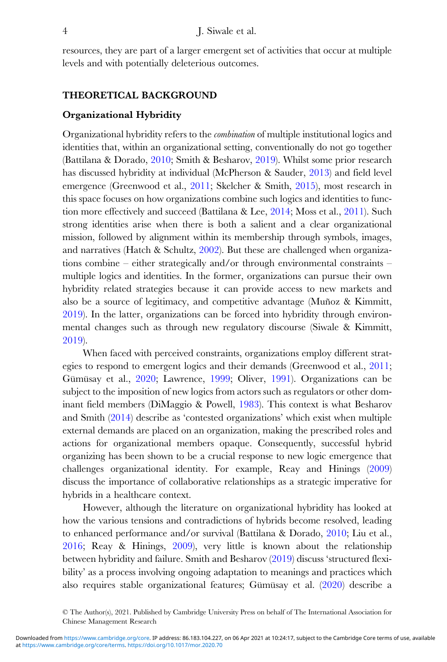resources, they are part of a larger emergent set of activities that occur at multiple levels and with potentially deleterious outcomes.

# THEORETICAL BACKGROUND

### Organizational Hybridity

Organizational hybridity refers to the combination of multiple institutional logics and identities that, within an organizational setting, conventionally do not go together (Battilana & Dorado, [2010;](#page-29-0) Smith & Besharov, [2019\)](#page-32-0). Whilst some prior research has discussed hybridity at individual (McPherson & Sauder, [2013](#page-31-0)) and field level emergence (Greenwood et al., [2011;](#page-30-0) Skelcher & Smith, [2015](#page-32-0)), most research in this space focuses on how organizations combine such logics and identities to function more effectively and succeed (Battilana & Lee, [2014;](#page-29-0) Moss et al., [2011](#page-32-0)). Such strong identities arise when there is both a salient and a clear organizational mission, followed by alignment within its membership through symbols, images, and narratives (Hatch & Schultz,  $2002$ ). But these are challenged when organizations combine – either strategically and/or through environmental constraints – multiple logics and identities. In the former, organizations can pursue their own hybridity related strategies because it can provide access to new markets and also be a source of legitimacy, and competitive advantage (Muñoz & Kimmitt, [2019](#page-32-0)). In the latter, organizations can be forced into hybridity through environmental changes such as through new regulatory discourse (Siwale & Kimmitt, [2019](#page-32-0)).

When faced with perceived constraints, organizations employ different strategies to respond to emergent logics and their demands (Greenwood et al., [2011;](#page-30-0) Gümüsay et al., [2020](#page-31-0); Lawrence, [1999](#page-31-0); Oliver, [1991\)](#page-32-0). Organizations can be subject to the imposition of new logics from actors such as regulators or other dominant field members (DiMaggio & Powell, [1983\)](#page-30-0). This context is what Besharov and Smith [\(2014](#page-29-0)) describe as 'contested organizations' which exist when multiple external demands are placed on an organization, making the prescribed roles and actions for organizational members opaque. Consequently, successful hybrid organizing has been shown to be a crucial response to new logic emergence that challenges organizational identity. For example, Reay and Hinings ([2009\)](#page-32-0) discuss the importance of collaborative relationships as a strategic imperative for hybrids in a healthcare context.

However, although the literature on organizational hybridity has looked at how the various tensions and contradictions of hybrids become resolved, leading to enhanced performance and/or survival (Battilana & Dorado, [2010;](#page-29-0) Liu et al., [2016](#page-31-0); Reay & Hinings, [2009](#page-32-0)), very little is known about the relationship between hybridity and failure. Smith and Besharov ([2019\)](#page-32-0) discuss 'structured flexibility' as a process involving ongoing adaptation to meanings and practices which also requires stable organizational features; Gümüsay et al. [\(2020](#page-31-0)) describe a

<sup>©</sup> The Author(s), 2021. Published by Cambridge University Press on behalf of The International Association for Chinese Management Research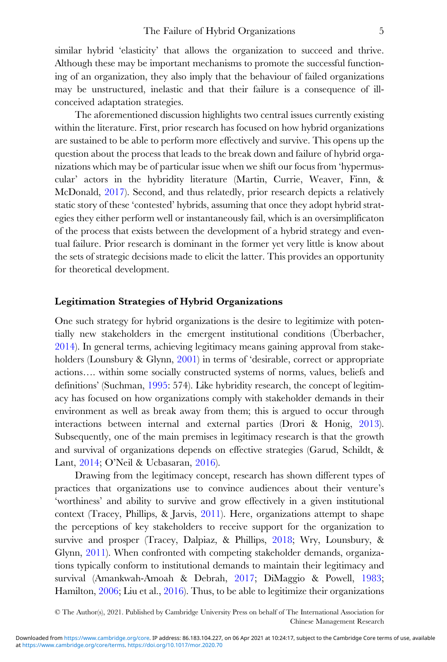similar hybrid 'elasticity' that allows the organization to succeed and thrive. Although these may be important mechanisms to promote the successful functioning of an organization, they also imply that the behaviour of failed organizations may be unstructured, inelastic and that their failure is a consequence of illconceived adaptation strategies.

The aforementioned discussion highlights two central issues currently existing within the literature. First, prior research has focused on how hybrid organizations are sustained to be able to perform more effectively and survive. This opens up the question about the process that leads to the break down and failure of hybrid organizations which may be of particular issue when we shift our focus from 'hypermuscular' actors in the hybridity literature (Martin, Currie, Weaver, Finn, & McDonald, [2017\)](#page-31-0). Second, and thus relatedly, prior research depicts a relatively static story of these 'contested' hybrids, assuming that once they adopt hybrid strategies they either perform well or instantaneously fail, which is an oversimplificaton of the process that exists between the development of a hybrid strategy and eventual failure. Prior research is dominant in the former yet very little is know about the sets of strategic decisions made to elicit the latter. This provides an opportunity for theoretical development.

# Legitimation Strategies of Hybrid Organizations

One such strategy for hybrid organizations is the desire to legitimize with potentially new stakeholders in the emergent institutional conditions (Überbacher, [2014\)](#page-33-0). In general terms, achieving legitimacy means gaining approval from stake-holders (Lounsbury & Glynn, [2001](#page-31-0)) in terms of 'desirable, correct or appropriate actions…. within some socially constructed systems of norms, values, beliefs and definitions' (Suchman, [1995](#page-32-0): 574). Like hybridity research, the concept of legitimacy has focused on how organizations comply with stakeholder demands in their environment as well as break away from them; this is argued to occur through interactions between internal and external parties (Drori & Honig, [2013](#page-30-0)). Subsequently, one of the main premises in legitimacy research is that the growth and survival of organizations depends on effective strategies (Garud, Schildt, & Lant, [2014](#page-30-0); O'Neil & Ucbasaran, [2016](#page-32-0)).

Drawing from the legitimacy concept, research has shown different types of practices that organizations use to convince audiences about their venture's 'worthiness' and ability to survive and grow effectively in a given institutional context (Tracey, Phillips, & Jarvis, [2011](#page-32-0)). Here, organizations attempt to shape the perceptions of key stakeholders to receive support for the organization to survive and prosper (Tracey, Dalpiaz, & Phillips, [2018;](#page-32-0) Wry, Lounsbury, & Glynn, [2011](#page-33-0)). When confronted with competing stakeholder demands, organizations typically conform to institutional demands to maintain their legitimacy and survival (Amankwah-Amoah & Debrah, [2017;](#page-29-0) DiMaggio & Powell, [1983](#page-30-0); Hamilton, [2006](#page-31-0); Liu et al., [2016\)](#page-31-0). Thus, to be able to legitimize their organizations

<sup>©</sup> The Author(s), 2021. Published by Cambridge University Press on behalf of The International Association for Chinese Management Research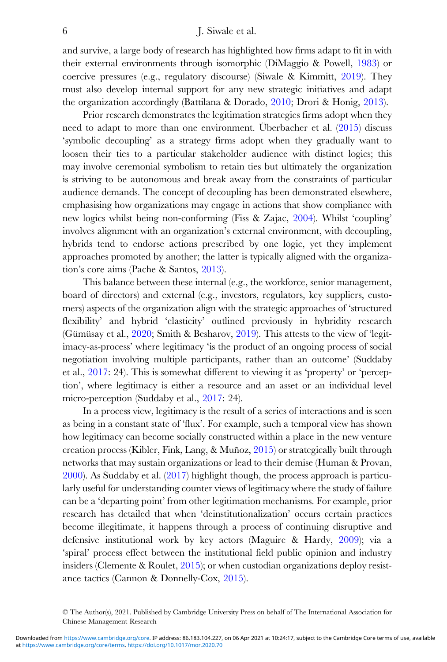### 6 J. Siwale et al.

and survive, a large body of research has highlighted how firms adapt to fit in with their external environments through isomorphic (DiMaggio & Powell, [1983](#page-30-0)) or coercive pressures (e.g., regulatory discourse) (Siwale & Kimmitt, [2019\)](#page-32-0). They must also develop internal support for any new strategic initiatives and adapt the organization accordingly (Battilana & Dorado, [2010;](#page-29-0) Drori & Honig, [2013](#page-30-0)).

Prior research demonstrates the legitimation strategies firms adopt when they need to adapt to more than one environment. Überbacher et al. [\(2015](#page-33-0)) discuss 'symbolic decoupling' as a strategy firms adopt when they gradually want to loosen their ties to a particular stakeholder audience with distinct logics; this may involve ceremonial symbolism to retain ties but ultimately the organization is striving to be autonomous and break away from the constraints of particular audience demands. The concept of decoupling has been demonstrated elsewhere, emphasising how organizations may engage in actions that show compliance with new logics whilst being non-conforming (Fiss & Zajac, [2004\)](#page-30-0). Whilst 'coupling' involves alignment with an organization's external environment, with decoupling, hybrids tend to endorse actions prescribed by one logic, yet they implement approaches promoted by another; the latter is typically aligned with the organization's core aims (Pache & Santos, [2013\)](#page-32-0).

This balance between these internal (e.g., the workforce, senior management, board of directors) and external (e.g., investors, regulators, key suppliers, customers) aspects of the organization align with the strategic approaches of 'structured flexibility' and hybrid 'elasticity' outlined previously in hybridity research (Gümüsay et al., [2020;](#page-31-0) Smith & Besharov, [2019\)](#page-32-0). This attests to the view of 'legitimacy-as-process' where legitimacy 'is the product of an ongoing process of social negotiation involving multiple participants, rather than an outcome' (Suddaby et al., [2017:](#page-32-0) 24). This is somewhat different to viewing it as 'property' or 'perception', where legitimacy is either a resource and an asset or an individual level micro-perception (Suddaby et al., [2017:](#page-32-0) 24).

In a process view, legitimacy is the result of a series of interactions and is seen as being in a constant state of 'flux'. For example, such a temporal view has shown how legitimacy can become socially constructed within a place in the new venture creation process (Kibler, Fink, Lang, & Muñoz, [2015\)](#page-31-0) or strategically built through networks that may sustain organizations or lead to their demise (Human & Provan, [2000](#page-31-0)). As Suddaby et al. ([2017\)](#page-32-0) highlight though, the process approach is particularly useful for understanding counter views of legitimacy where the study of failure can be a 'departing point' from other legitimation mechanisms. For example, prior research has detailed that when 'deinstitutionalization' occurs certain practices become illegitimate, it happens through a process of continuing disruptive and defensive institutional work by key actors (Maguire & Hardy, [2009\)](#page-31-0); via a 'spiral' process effect between the institutional field public opinion and industry insiders (Clemente & Roulet, [2015](#page-30-0)); or when custodian organizations deploy resistance tactics (Cannon & Donnelly-Cox, [2015\)](#page-30-0).

<sup>©</sup> The Author(s), 2021. Published by Cambridge University Press on behalf of The International Association for Chinese Management Research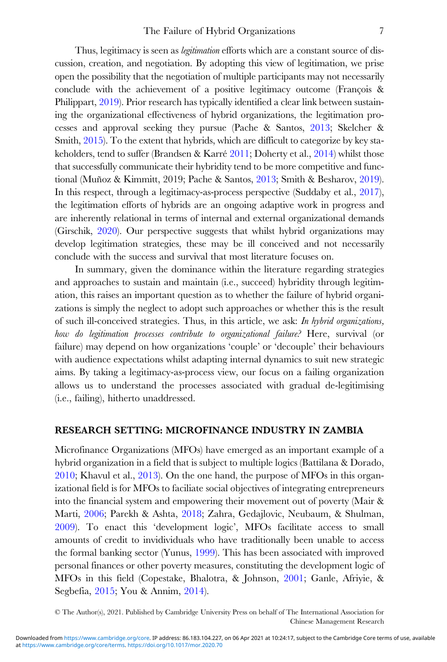Thus, legitimacy is seen as *legitimation* efforts which are a constant source of discussion, creation, and negotiation. By adopting this view of legitimation, we prise open the possibility that the negotiation of multiple participants may not necessarily conclude with the achievement of a positive legitimacy outcome (François & Philippart, [2019](#page-30-0)). Prior research has typically identified a clear link between sustaining the organizational effectiveness of hybrid organizations, the legitimation processes and approval seeking they pursue (Pache & Santos, [2013;](#page-32-0) Skelcher & Smith, [2015](#page-32-0)). To the extent that hybrids, which are difficult to categorize by key stakeholders, tend to suffer (Brandsen & Karré [2011](#page-29-0); Doherty et al., [2014\)](#page-30-0) whilst those that successfully communicate their hybridity tend to be more competitive and functional (Muñoz & Kimmitt, 2019; Pache & Santos, [2013](#page-32-0); Smith & Besharov, [2019\)](#page-32-0). In this respect, through a legitimacy-as-process perspective (Suddaby et al., [2017](#page-32-0)), the legitimation efforts of hybrids are an ongoing adaptive work in progress and are inherently relational in terms of internal and external organizational demands (Girschik, [2020](#page-30-0)). Our perspective suggests that whilst hybrid organizations may develop legitimation strategies, these may be ill conceived and not necessarily conclude with the success and survival that most literature focuses on.

In summary, given the dominance within the literature regarding strategies and approaches to sustain and maintain (i.e., succeed) hybridity through legitimation, this raises an important question as to whether the failure of hybrid organizations is simply the neglect to adopt such approaches or whether this is the result of such ill-conceived strategies. Thus, in this article, we ask: In hybrid organizations, how do legitimation processes contribute to organizational failure? Here, survival (or failure) may depend on how organizations 'couple' or 'decouple' their behaviours with audience expectations whilst adapting internal dynamics to suit new strategic aims. By taking a legitimacy-as-process view, our focus on a failing organization allows us to understand the processes associated with gradual de-legitimising (i.e., failing), hitherto unaddressed.

### RESEARCH SETTING: MICROFINANCE INDUSTRY IN ZAMBIA

Microfinance Organizations (MFOs) have emerged as an important example of a hybrid organization in a field that is subject to multiple logics (Battilana & Dorado, [2010;](#page-29-0) Khavul et al., [2013\)](#page-31-0). On the one hand, the purpose of MFOs in this organizational field is for MFOs to faciliate social objectives of integrating entrepreneurs into the financial system and empowering their movement out of poverty (Mair & Marti, [2006](#page-31-0); Parekh & Ashta, [2018](#page-32-0); Zahra, Gedajlovic, Neubaum, & Shulman, [2009\)](#page-33-0). To enact this 'development logic', MFOs facilitate access to small amounts of credit to invidividuals who have traditionally been unable to access the formal banking sector (Yunus, [1999\)](#page-33-0). This has been associated with improved personal finances or other poverty measures, constituting the development logic of MFOs in this field (Copestake, Bhalotra, & Johnson, [2001;](#page-30-0) Ganle, Afriyie, & Segbefia, [2015;](#page-30-0) You & Annim, [2014](#page-33-0)).

<sup>©</sup> The Author(s), 2021. Published by Cambridge University Press on behalf of The International Association for Chinese Management Research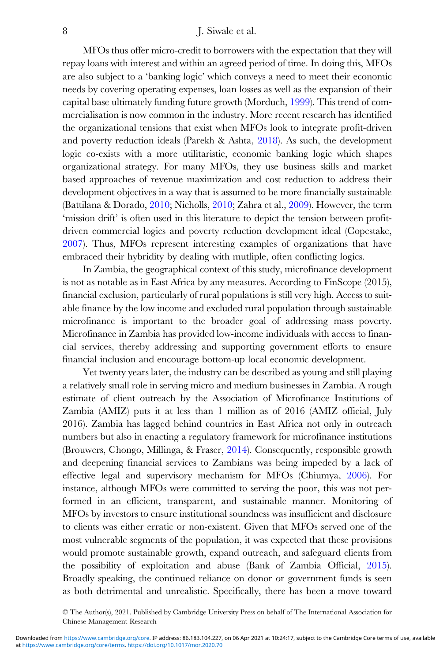MFOs thus offer micro-credit to borrowers with the expectation that they will repay loans with interest and within an agreed period of time. In doing this, MFOs are also subject to a 'banking logic' which conveys a need to meet their economic needs by covering operating expenses, loan losses as well as the expansion of their capital base ultimately funding future growth (Morduch, [1999](#page-32-0)). This trend of commercialisation is now common in the industry. More recent research has identified the organizational tensions that exist when MFOs look to integrate profit-driven and poverty reduction ideals (Parekh & Ashta, [2018](#page-32-0)). As such, the development logic co-exists with a more utilitaristic, economic banking logic which shapes organizational strategy. For many MFOs, they use business skills and market based approaches of revenue maximization and cost reduction to address their development objectives in a way that is assumed to be more financially sustainable (Battilana & Dorado, [2010;](#page-29-0) Nicholls, [2010;](#page-32-0) Zahra et al., [2009\)](#page-33-0). However, the term 'mission drift' is often used in this literature to depict the tension between profitdriven commercial logics and poverty reduction development ideal (Copestake, [2007](#page-30-0)). Thus, MFOs represent interesting examples of organizations that have embraced their hybridity by dealing with mutliple, often conflicting logics.

In Zambia, the geographical context of this study, microfinance development is not as notable as in East Africa by any measures. According to FinScope (2015), financial exclusion, particularly of rural populations is still very high. Access to suitable finance by the low income and excluded rural population through sustainable microfinance is important to the broader goal of addressing mass poverty. Microfinance in Zambia has provided low-income individuals with access to financial services, thereby addressing and supporting government efforts to ensure financial inclusion and encourage bottom-up local economic development.

Yet twenty years later, the industry can be described as young and still playing a relatively small role in serving micro and medium businesses in Zambia. A rough estimate of client outreach by the Association of Microfinance Institutions of Zambia (AMIZ) puts it at less than 1 million as of 2016 (AMIZ official, July 2016). Zambia has lagged behind countries in East Africa not only in outreach numbers but also in enacting a regulatory framework for microfinance institutions (Brouwers, Chongo, Millinga, & Fraser, [2014\)](#page-29-0). Consequently, responsible growth and deepening financial services to Zambians was being impeded by a lack of effective legal and supervisory mechanism for MFOs (Chiumya, [2006](#page-30-0)). For instance, although MFOs were committed to serving the poor, this was not performed in an efficient, transparent, and sustainable manner. Monitoring of MFOs by investors to ensure institutional soundness was insufficient and disclosure to clients was either erratic or non-existent. Given that MFOs served one of the most vulnerable segments of the population, it was expected that these provisions would promote sustainable growth, expand outreach, and safeguard clients from the possibility of exploitation and abuse (Bank of Zambia Official, [2015\)](#page-29-0). Broadly speaking, the continued reliance on donor or government funds is seen as both detrimental and unrealistic. Specifically, there has been a move toward

<sup>©</sup> The Author(s), 2021. Published by Cambridge University Press on behalf of The International Association for Chinese Management Research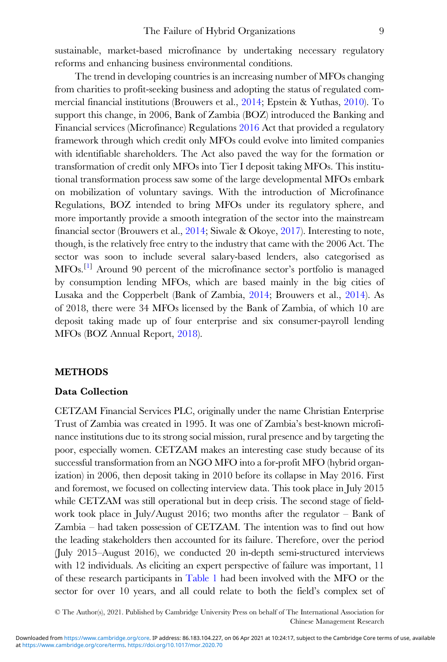sustainable, market-based microfinance by undertaking necessary regulatory reforms and enhancing business environmental conditions.

The trend in developing countries is an increasing number of MFOs changing from charities to profit-seeking business and adopting the status of regulated commercial financial institutions (Brouwers et al., [2014](#page-29-0); Epstein & Yuthas, [2010\)](#page-30-0). To support this change, in 2006, Bank of Zambia (BOZ) introduced the Banking and Financial services (Microfinance) Regulations [2016](#page-29-0) Act that provided a regulatory framework through which credit only MFOs could evolve into limited companies with identifiable shareholders. The Act also paved the way for the formation or transformation of credit only MFOs into Tier I deposit taking MFOs. This institutional transformation process saw some of the large developmental MFOs embark on mobilization of voluntary savings. With the introduction of Microfinance Regulations, BOZ intended to bring MFOs under its regulatory sphere, and more importantly provide a smooth integration of the sector into the mainstream financial sector (Brouwers et al., [2014](#page-29-0); Siwale & Okoye, [2017](#page-32-0)). Interesting to note, though, is the relatively free entry to the industry that came with the 2006 Act. The sector was soon to include several salary-based lenders, also categorised as MFOs.<sup>[[1\]](#page-29-0)</sup> Around 90 percent of the microfinance sector's portfolio is managed by consumption lending MFOs, which are based mainly in the big cities of Lusaka and the Copperbelt (Bank of Zambia, [2014;](#page-29-0) Brouwers et al., [2014](#page-29-0)). As of 2018, there were 34 MFOs licensed by the Bank of Zambia, of which 10 are deposit taking made up of four enterprise and six consumer-payroll lending MFOs (BOZ Annual Report, [2018\)](#page-29-0).

### METHODS

### Data Collection

CETZAM Financial Services PLC, originally under the name Christian Enterprise Trust of Zambia was created in 1995. It was one of Zambia's best-known microfinance institutions due to its strong social mission, rural presence and by targeting the poor, especially women. CETZAM makes an interesting case study because of its successful transformation from an NGO MFO into a for-profit MFO (hybrid organization) in 2006, then deposit taking in 2010 before its collapse in May 2016. First and foremost, we focused on collecting interview data. This took place in July 2015 while CETZAM was still operational but in deep crisis. The second stage of fieldwork took place in July/August 2016; two months after the regulator – Bank of Zambia – had taken possession of CETZAM. The intention was to find out how the leading stakeholders then accounted for its failure. Therefore, over the period (July 2015–August 2016), we conducted 20 in-depth semi-structured interviews with 12 individuals. As eliciting an expert perspective of failure was important, 11 of these research participants in [Table 1](#page-9-0) had been involved with the MFO or the sector for over 10 years, and all could relate to both the field's complex set of

© The Author(s), 2021. Published by Cambridge University Press on behalf of The International Association for Chinese Management Research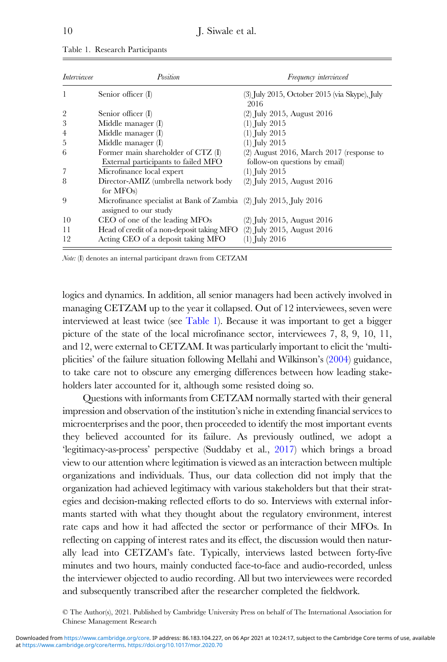| Interviewee    | Position                                                                                    | <i>Frequency interviewed</i>                            |
|----------------|---------------------------------------------------------------------------------------------|---------------------------------------------------------|
|                | Senior officer (I)                                                                          | $(3)$ July 2015, October 2015 (via Skype), July<br>2016 |
| $\overline{2}$ | Senior officer (I)                                                                          | $(2)$ July 2015, August 2016                            |
| 3              | Middle manager (I)                                                                          | $(1)$ July 2015                                         |
| 4              | Middle manager (I)                                                                          | $(1)$ July 2015                                         |
| 5              | Middle manager $(I)$                                                                        | $(1)$ July 2015                                         |
| 6              | Former main shareholder of CTZ (I)                                                          | $(2)$ August 2016, March 2017 (response to              |
|                | External participants to failed MFO                                                         | follow-on questions by email)                           |
|                | Microfinance local expert                                                                   | $(1)$ July 2015                                         |
| 8              | Director-AMIZ (umbrella network body<br>for $MFOs$ )                                        | $(2)$ July 2015, August 2016                            |
| 9              | Microfinance specialist at Bank of Zambia (2) July 2015, July 2016<br>assigned to our study |                                                         |
| 10             | CEO of one of the leading MFOs                                                              | $(2)$ July 2015, August 2016                            |
| 11             | Head of credit of a non-deposit taking MFO (2) July 2015, August 2016                       |                                                         |
| 12             | Acting CEO of a deposit taking MFO                                                          | $(1)$ July 2016                                         |

<span id="page-9-0"></span>Table 1. Research Participants

Note: (I) denotes an internal participant drawn from CETZAM

logics and dynamics. In addition, all senior managers had been actively involved in managing CETZAM up to the year it collapsed. Out of 12 interviewees, seven were interviewed at least twice (see Table 1). Because it was important to get a bigger picture of the state of the local microfinance sector, interviewees 7, 8, 9, 10, 11, and 12, were external to CETZAM. It was particularly important to elicit the 'multiplicities' of the failure situation following Mellahi and Wilkinson's [\(2004\)](#page-31-0) guidance, to take care not to obscure any emerging differences between how leading stakeholders later accounted for it, although some resisted doing so.

Questions with informants from CETZAM normally started with their general impression and observation of the institution's niche in extending financial services to microenterprises and the poor, then proceeded to identify the most important events they believed accounted for its failure. As previously outlined, we adopt a 'legitimacy-as-process' perspective (Suddaby et al., [2017](#page-32-0)) which brings a broad view to our attention where legitimation is viewed as an interaction between multiple organizations and individuals. Thus, our data collection did not imply that the organization had achieved legitimacy with various stakeholders but that their strategies and decision-making reflected efforts to do so. Interviews with external informants started with what they thought about the regulatory environment, interest rate caps and how it had affected the sector or performance of their MFOs. In reflecting on capping of interest rates and its effect, the discussion would then naturally lead into CETZAM's fate. Typically, interviews lasted between forty-five minutes and two hours, mainly conducted face-to-face and audio-recorded, unless the interviewer objected to audio recording. All but two interviewees were recorded and subsequently transcribed after the researcher completed the fieldwork.

<sup>©</sup> The Author(s), 2021. Published by Cambridge University Press on behalf of The International Association for Chinese Management Research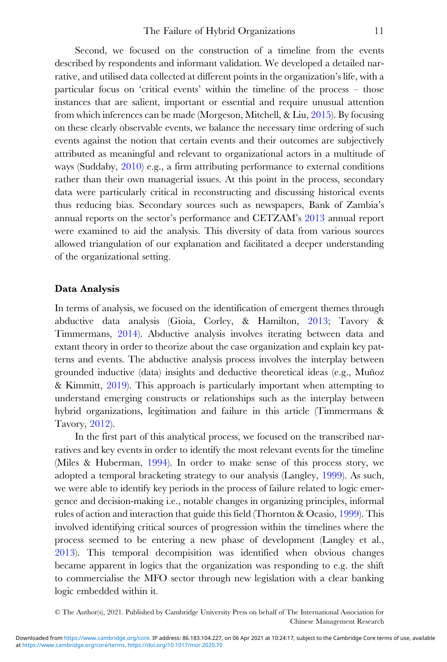Second, we focused on the construction of a timeline from the events described by respondents and informant validation. We developed a detailed narrative, and utilised data collected at different points in the organization's life, with a particular focus on 'critical events' within the timeline of the process – those instances that are salient, important or essential and require unusual attention from which inferences can be made (Morgeson, Mitchell, & Liu, [2015](#page-32-0)). By focusing on these clearly observable events, we balance the necessary time ordering of such events against the notion that certain events and their outcomes are subjectively attributed as meaningful and relevant to organizational actors in a multitude of ways (Suddaby, [2010\)](#page-32-0) e.g., a firm attributing performance to external conditions rather than their own managerial issues. At this point in the process, secondary data were particularly critical in reconstructing and discussing historical events thus reducing bias. Secondary sources such as newspapers, Bank of Zambia's annual reports on the sector's performance and CETZAM's [2013](#page-30-0) annual report were examined to aid the analysis. This diversity of data from various sources allowed triangulation of our explanation and facilitated a deeper understanding of the organizational setting.

### Data Analysis

In terms of analysis, we focused on the identification of emergent themes through abductive data analysis (Gioia, Corley, & Hamilton, [2013;](#page-30-0) Tavory & Timmermans, [2014\)](#page-32-0). Abductive analysis involves iterating between data and extant theory in order to theorize about the case organization and explain key patterns and events. The abductive analysis process involves the interplay between grounded inductive (data) insights and deductive theoretical ideas (e.g., Muñoz & Kimmitt, [2019\)](#page-32-0). This approach is particularly important when attempting to understand emerging constructs or relationships such as the interplay between hybrid organizations, legitimation and failure in this article (Timmermans & Tavory, [2012\)](#page-32-0).

In the first part of this analytical process, we focused on the transcribed narratives and key events in order to identify the most relevant events for the timeline (Miles & Huberman, [1994](#page-32-0)). In order to make sense of this process story, we adopted a temporal bracketing strategy to our analysis (Langley, [1999](#page-31-0)). As such, we were able to identify key periods in the process of failure related to logic emergence and decision-making i.e., notable changes in organizing principles, informal rules of action and interaction that guide this field (Thornton & Ocasio, [1999\)](#page-32-0). This involved identifying critical sources of progression within the timelines where the process seemed to be entering a new phase of development (Langley et al., [2013\)](#page-31-0). This temporal decompisition was identified when obvious changes became apparent in logics that the organization was responding to e.g. the shift to commercialise the MFO sector through new legislation with a clear banking logic embedded within it.

<sup>©</sup> The Author(s), 2021. Published by Cambridge University Press on behalf of The International Association for Chinese Management Research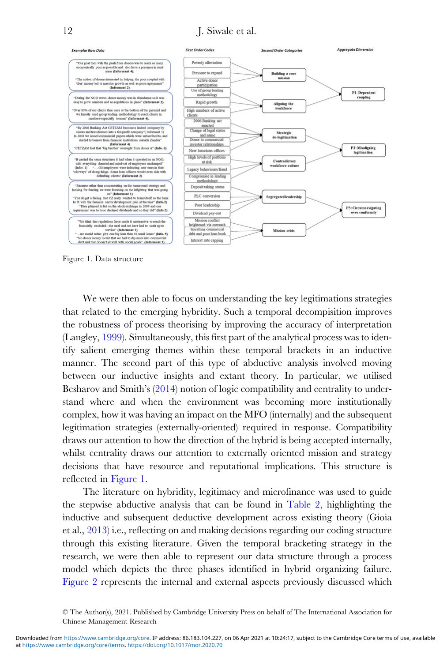# 12 J. Siwale et al.



Figure 1. Data structure

We were then able to focus on understanding the key legitimations strategies that related to the emerging hybridity. Such a temporal decompisition improves the robustness of process theorising by improving the accuracy of interpretation (Langley, [1999\)](#page-31-0). Simultaneously, this first part of the analytical process was to identify salient emerging themes within these temporal brackets in an inductive manner. The second part of this type of abductive analysis involved moving between our inductive insights and extant theory. In particular, we utilised Besharov and Smith's ([2014\)](#page-29-0) notion of logic compatibility and centrality to understand where and when the environment was becoming more institutionally complex, how it was having an impact on the MFO (internally) and the subsequent legitimation strategies (externally-oriented) required in response. Compatibility draws our attention to how the direction of the hybrid is being accepted internally, whilst centrality draws our attention to externally oriented mission and strategy decisions that have resource and reputational implications. This structure is reflected in Figure 1.

The literature on hybridity, legitimacy and microfinance was used to guide the stepwise abductive analysis that can be found in [Table 2](#page-12-0), highlighting the inductive and subsequent deductive development across existing theory (Gioia et al., [2013](#page-30-0)) i.e., reflecting on and making decisions regarding our coding structure through this existing literature. Given the temporal bracketing strategy in the research, we were then able to represent our data structure through a process model which depicts the three phases identified in hybrid organizing failure. [Figure 2](#page-15-0) represents the internal and external aspects previously discussed which

<sup>©</sup> The Author(s), 2021. Published by Cambridge University Press on behalf of The International Association for Chinese Management Research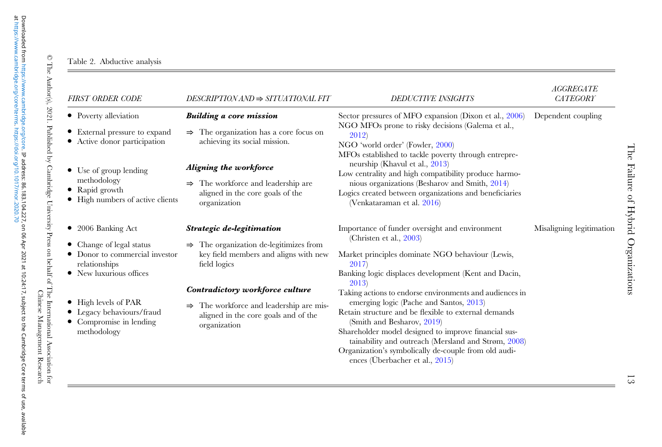# Table 2. Abductive analysis

 $\bullet$ 

÷

| FIRST ORDER CODE                                                                                                                                                                                                            | $DESCRIPTIONAND \Rightarrow SITUATIONAL FIT$                                                                                                                                                                                                                                               | <b>DEDUCTIVE INSIGHTS</b>                                                                                                                                                                                                                                                                                                                                                                                                                                                                                                                                                                                       | <b>AGGREGATE</b><br>CATEGORY |
|-----------------------------------------------------------------------------------------------------------------------------------------------------------------------------------------------------------------------------|--------------------------------------------------------------------------------------------------------------------------------------------------------------------------------------------------------------------------------------------------------------------------------------------|-----------------------------------------------------------------------------------------------------------------------------------------------------------------------------------------------------------------------------------------------------------------------------------------------------------------------------------------------------------------------------------------------------------------------------------------------------------------------------------------------------------------------------------------------------------------------------------------------------------------|------------------------------|
| • Poverty alleviation<br>• External pressure to expand<br>• Active donor participation<br>• Use of group lending<br>methodology<br>• Rapid growth<br>• High numbers of active clients                                       | <b>Building a core mission</b><br>$\Rightarrow$ The organization has a core focus on<br>achieving its social mission.<br>Aligning the workforce<br>$\Rightarrow$ The workforce and leadership are<br>aligned in the core goals of the<br>organization                                      | Sector pressures of MFO expansion (Dixon et al., 2006)<br>NGO MFOs prone to risky decisions (Galema et al.,<br>2012)<br>NGO 'world order' (Fowler, 2000)<br>MFOs established to tackle poverty through entrepre-<br>neurship (Khavul et al., 2013)<br>Low centrality and high compatibility produce harmo-<br>nious organizations (Besharov and Smith, 2014)<br>Logics created between organizations and beneficiaries<br>(Venkataraman et al. 2016)                                                                                                                                                            | Dependent coupling           |
| • 2006 Banking Act<br>• Change of legal status<br>• Donor to commercial investor<br>relationships<br>• New luxurious offices<br>• High levels of PAR<br>• Legacy behaviours/fraud<br>• Compromise in lending<br>methodology | Strategic de-legitimation<br>$\Rightarrow$ The organization de-legitimizes from<br>key field members and aligns with new<br>field logics<br>Contradictory workforce culture<br>$\Rightarrow$ The workforce and leadership are mis-<br>aligned in the core goals and of the<br>organization | Importance of funder oversight and environment<br>(Christen et al., $2003$ )<br>Market principles dominate NGO behaviour (Lewis,<br>2017<br>Banking logic displaces development (Kent and Dacin,<br>2013)<br>Taking actions to endorse environments and audiences in<br>emerging logic (Pache and Santos, 2013)<br>Retain structure and be flexible to external demands<br>(Smith and Besharov, 2019)<br>Shareholder model designed to improve financial sus-<br>tainability and outreach (Mersland and Strøm, 2008)<br>Organization's symbolically de-couple from old audi-<br>ences (Überbacher et al., 2015) | Misaligning legitimation     |

<span id="page-12-0"></span>at [https://www.cambridge.org/core/terms.](https://www.cambridge.org/core/terms) <https://doi.org/10.1017/mor.2020.70>

© The Author(s), 2021. Published by Cambridge University Press on behalf of The International Association for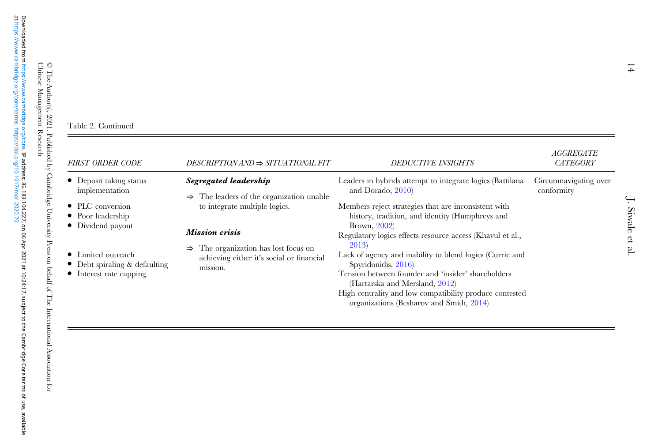at [https://www.cambridge.org/core/terms.](https://www.cambridge.org/core/terms) <https://doi.org/10.1017/mor.2020.70>

© The Author(s), 2021. Published by Cambridge University Press on behalf of The International Association for

#### Table 2. Continued

| <b>FIRST ORDER CODE</b>                                                                | $DESCRIPTIONAND \Rightarrow SITUATIONAL FIT$                                                                 | <b>DEDUCTIVE INSIGHTS</b>                                                                                                                                                                                                                                                                                                                            | AGGREGATE<br><b>CATEGORY</b>        |
|----------------------------------------------------------------------------------------|--------------------------------------------------------------------------------------------------------------|------------------------------------------------------------------------------------------------------------------------------------------------------------------------------------------------------------------------------------------------------------------------------------------------------------------------------------------------------|-------------------------------------|
| • Deposit taking status<br>implementation                                              | Segregated leadership<br>The leaders of the organization unable<br>$\Rightarrow$                             | Leaders in hybrids attempt to integrate logics (Battilana<br>and Dorado, $2010$                                                                                                                                                                                                                                                                      | Circumnavigating over<br>conformity |
| • PLC conversion<br>• Poor leadership<br>• Dividend payout                             | to integrate multiple logics.<br><b>Mission crisis</b>                                                       | Members reject strategies that are inconsistent with<br>history, tradition, and identity (Humphreys and<br>Brown, $2002$ )                                                                                                                                                                                                                           |                                     |
| • Limited outreach<br>• Debt spiraling & defaulting<br>$\bullet$ Interest rate capping | The organization has lost focus on<br>$\Rightarrow$<br>achieving either it's social or financial<br>mission. | Regulatory logics effects resource access (Khavul et al.,<br>2013)<br>Lack of agency and inability to blend logics (Currie and<br>Spyridonidis, 2016)<br>Tension between founder and 'insider' shareholders<br>(Hartarska and Mersland, 2012)<br>High centrality and low compatibility produce contested<br>organizations (Besharov and Smith, 2014) |                                     |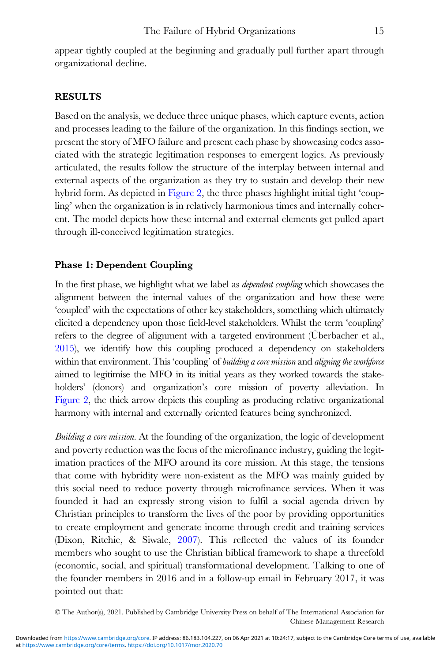appear tightly coupled at the beginning and gradually pull further apart through organizational decline.

# RESULTS

Based on the analysis, we deduce three unique phases, which capture events, action and processes leading to the failure of the organization. In this findings section, we present the story of MFO failure and present each phase by showcasing codes associated with the strategic legitimation responses to emergent logics. As previously articulated, the results follow the structure of the interplay between internal and external aspects of the organization as they try to sustain and develop their new hybrid form. As depicted in [Figure 2](#page-15-0), the three phases highlight initial tight 'coupling' when the organization is in relatively harmonious times and internally coherent. The model depicts how these internal and external elements get pulled apart through ill-conceived legitimation strategies.

# Phase 1: Dependent Coupling

In the first phase, we highlight what we label as dependent coupling which showcases the alignment between the internal values of the organization and how these were 'coupled' with the expectations of other key stakeholders, something which ultimately elicited a dependency upon those field-level stakeholders. Whilst the term 'coupling' refers to the degree of alignment with a targeted environment (Überbacher et al., [2015\)](#page-33-0), we identify how this coupling produced a dependency on stakeholders within that environment. This 'coupling' of building a core mission and aligning the workforce aimed to legitimise the MFO in its initial years as they worked towards the stakeholders' (donors) and organization's core mission of poverty alleviation. In [Figure 2,](#page-15-0) the thick arrow depicts this coupling as producing relative organizational harmony with internal and externally oriented features being synchronized.

Building a core mission. At the founding of the organization, the logic of development and poverty reduction was the focus of the microfinance industry, guiding the legitimation practices of the MFO around its core mission. At this stage, the tensions that come with hybridity were non-existent as the MFO was mainly guided by this social need to reduce poverty through microfinance services. When it was founded it had an expressly strong vision to fulfil a social agenda driven by Christian principles to transform the lives of the poor by providing opportunities to create employment and generate income through credit and training services (Dixon, Ritchie, & Siwale, [2007\)](#page-30-0). This reflected the values of its founder members who sought to use the Christian biblical framework to shape a threefold (economic, social, and spiritual) transformational development. Talking to one of the founder members in 2016 and in a follow-up email in February 2017, it was pointed out that:

<sup>©</sup> The Author(s), 2021. Published by Cambridge University Press on behalf of The International Association for Chinese Management Research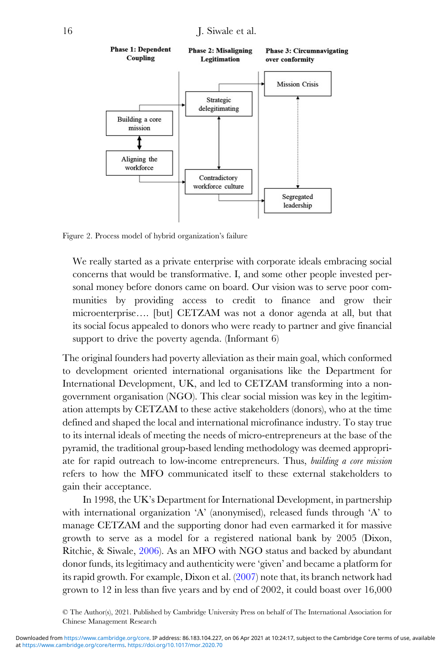<span id="page-15-0"></span>

Figure 2. Process model of hybrid organization's failure

We really started as a private enterprise with corporate ideals embracing social concerns that would be transformative. I, and some other people invested personal money before donors came on board. Our vision was to serve poor communities by providing access to credit to finance and grow their microenterprise…. [but] CETZAM was not a donor agenda at all, but that its social focus appealed to donors who were ready to partner and give financial support to drive the poverty agenda. (Informant 6)

The original founders had poverty alleviation as their main goal, which conformed to development oriented international organisations like the Department for International Development, UK, and led to CETZAM transforming into a nongovernment organisation (NGO). This clear social mission was key in the legitimation attempts by CETZAM to these active stakeholders (donors), who at the time defined and shaped the local and international microfinance industry. To stay true to its internal ideals of meeting the needs of micro-entrepreneurs at the base of the pyramid, the traditional group-based lending methodology was deemed appropriate for rapid outreach to low-income entrepreneurs. Thus, building a core mission refers to how the MFO communicated itself to these external stakeholders to gain their acceptance.

In 1998, the UK's Department for International Development, in partnership with international organization 'A' (anonymised), released funds through 'A' to manage CETZAM and the supporting donor had even earmarked it for massive growth to serve as a model for a registered national bank by 2005 (Dixon, Ritchie, & Siwale, [2006](#page-30-0)). As an MFO with NGO status and backed by abundant donor funds, its legitimacy and authenticity were 'given' and became a platform for its rapid growth. For example, Dixon et al. [\(2007](#page-30-0)) note that, its branch network had grown to 12 in less than five years and by end of 2002, it could boast over 16,000

<sup>©</sup> The Author(s), 2021. Published by Cambridge University Press on behalf of The International Association for Chinese Management Research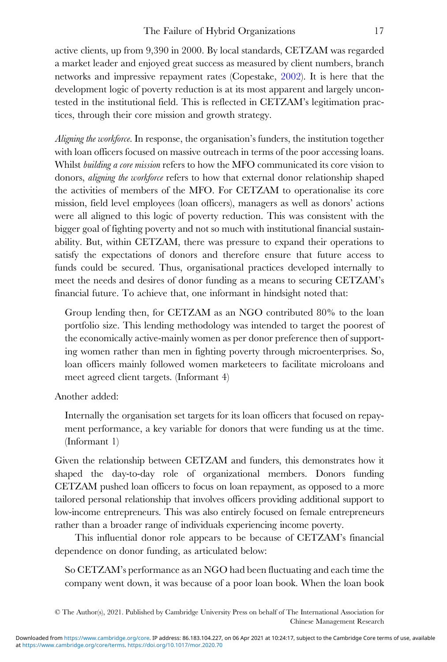active clients, up from 9,390 in 2000. By local standards, CETZAM was regarded a market leader and enjoyed great success as measured by client numbers, branch networks and impressive repayment rates (Copestake, [2002](#page-30-0)). It is here that the development logic of poverty reduction is at its most apparent and largely uncontested in the institutional field. This is reflected in CETZAM's legitimation practices, through their core mission and growth strategy.

Aligning the workforce. In response, the organisation's funders, the institution together with loan officers focused on massive outreach in terms of the poor accessing loans. Whilst building a core mission refers to how the MFO communicated its core vision to donors, aligning the workforce refers to how that external donor relationship shaped the activities of members of the MFO. For CETZAM to operationalise its core mission, field level employees (loan officers), managers as well as donors' actions were all aligned to this logic of poverty reduction. This was consistent with the bigger goal of fighting poverty and not so much with institutional financial sustainability. But, within CETZAM, there was pressure to expand their operations to satisfy the expectations of donors and therefore ensure that future access to funds could be secured. Thus, organisational practices developed internally to meet the needs and desires of donor funding as a means to securing CETZAM's financial future. To achieve that, one informant in hindsight noted that:

Group lending then, for CETZAM as an NGO contributed 80% to the loan portfolio size. This lending methodology was intended to target the poorest of the economically active-mainly women as per donor preference then of supporting women rather than men in fighting poverty through microenterprises. So, loan officers mainly followed women marketeers to facilitate microloans and meet agreed client targets. (Informant 4)

Another added:

Internally the organisation set targets for its loan officers that focused on repayment performance, a key variable for donors that were funding us at the time. (Informant 1)

Given the relationship between CETZAM and funders, this demonstrates how it shaped the day-to-day role of organizational members. Donors funding CETZAM pushed loan officers to focus on loan repayment, as opposed to a more tailored personal relationship that involves officers providing additional support to low-income entrepreneurs. This was also entirely focused on female entrepreneurs rather than a broader range of individuals experiencing income poverty.

This influential donor role appears to be because of CETZAM's financial dependence on donor funding, as articulated below:

So CETZAM's performance as an NGO had been fluctuating and each time the company went down, it was because of a poor loan book. When the loan book

<sup>©</sup> The Author(s), 2021. Published by Cambridge University Press on behalf of The International Association for Chinese Management Research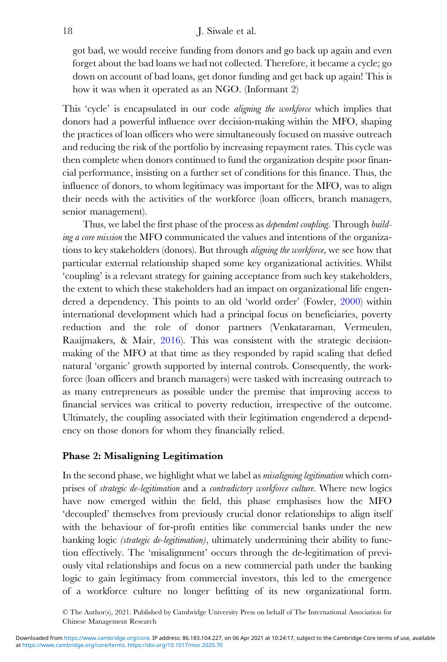got bad, we would receive funding from donors and go back up again and even forget about the bad loans we had not collected. Therefore, it became a cycle; go down on account of bad loans, get donor funding and get back up again! This is how it was when it operated as an NGO. (Informant 2)

This 'cycle' is encapsulated in our code *aligning the workforce* which implies that donors had a powerful influence over decision-making within the MFO, shaping the practices of loan officers who were simultaneously focused on massive outreach and reducing the risk of the portfolio by increasing repayment rates. This cycle was then complete when donors continued to fund the organization despite poor financial performance, insisting on a further set of conditions for this finance. Thus, the influence of donors, to whom legitimacy was important for the MFO, was to align their needs with the activities of the workforce (loan officers, branch managers, senior management).

Thus, we label the first phase of the process as *dependent coupling*. Through *build*ing a core mission the MFO communicated the values and intentions of the organizations to key stakeholders (donors). But through *aligning the workforce*, we see how that particular external relationship shaped some key organizational activities. Whilst 'coupling' is a relevant strategy for gaining acceptance from such key stakeholders, the extent to which these stakeholders had an impact on organizational life engendered a dependency. This points to an old 'world order' (Fowler, [2000\)](#page-30-0) within international development which had a principal focus on beneficiaries, poverty reduction and the role of donor partners (Venkataraman, Vermeulen, Raaijmakers, & Mair, [2016](#page-33-0)). This was consistent with the strategic decisionmaking of the MFO at that time as they responded by rapid scaling that defied natural 'organic' growth supported by internal controls. Consequently, the workforce (loan officers and branch managers) were tasked with increasing outreach to as many entrepreneurs as possible under the premise that improving access to financial services was critical to poverty reduction, irrespective of the outcome. Ultimately, the coupling associated with their legitimation engendered a dependency on those donors for whom they financially relied.

# Phase 2: Misaligning Legitimation

In the second phase, we highlight what we label as *misaligning legitimation* which comprises of strategic de-legitimation and a contradictory workforce culture. Where new logics have now emerged within the field, this phase emphasises how the MFO 'decoupled' themselves from previously crucial donor relationships to align itself with the behaviour of for-profit entities like commercial banks under the new banking logic (strategic de-legitimation), ultimately undermining their ability to function effectively. The 'misalignment' occurs through the de-legitimation of previously vital relationships and focus on a new commercial path under the banking logic to gain legitimacy from commercial investors, this led to the emergence of a workforce culture no longer befitting of its new organizational form.

<sup>©</sup> The Author(s), 2021. Published by Cambridge University Press on behalf of The International Association for Chinese Management Research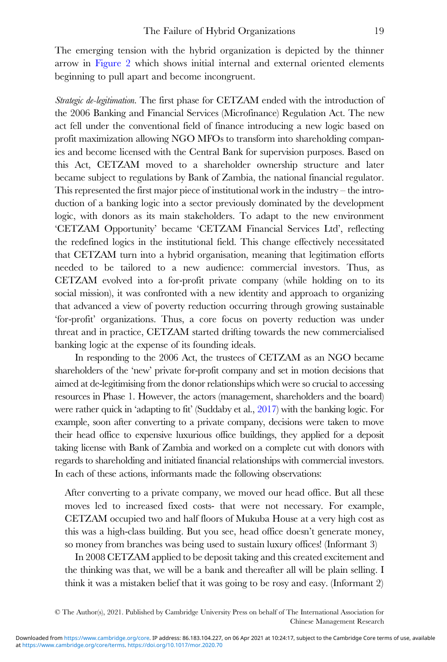The emerging tension with the hybrid organization is depicted by the thinner arrow in [Figure 2](#page-15-0) which shows initial internal and external oriented elements beginning to pull apart and become incongruent.

Strategic de-legitimation. The first phase for CETZAM ended with the introduction of the 2006 Banking and Financial Services (Microfinance) Regulation Act. The new act fell under the conventional field of finance introducing a new logic based on profit maximization allowing NGO MFOs to transform into shareholding companies and become licensed with the Central Bank for supervision purposes. Based on this Act, CETZAM moved to a shareholder ownership structure and later became subject to regulations by Bank of Zambia, the national financial regulator. This represented the first major piece of institutional work in the industry – the introduction of a banking logic into a sector previously dominated by the development logic, with donors as its main stakeholders. To adapt to the new environment 'CETZAM Opportunity' became 'CETZAM Financial Services Ltd', reflecting the redefined logics in the institutional field. This change effectively necessitated that CETZAM turn into a hybrid organisation, meaning that legitimation efforts needed to be tailored to a new audience: commercial investors. Thus, as CETZAM evolved into a for-profit private company (while holding on to its social mission), it was confronted with a new identity and approach to organizing that advanced a view of poverty reduction occurring through growing sustainable 'for-profit' organizations. Thus, a core focus on poverty reduction was under threat and in practice, CETZAM started drifting towards the new commercialised banking logic at the expense of its founding ideals.

In responding to the 2006 Act, the trustees of CETZAM as an NGO became shareholders of the 'new' private for-profit company and set in motion decisions that aimed at de-legitimising from the donor relationships which were so crucial to accessing resources in Phase 1. However, the actors (management, shareholders and the board) were rather quick in 'adapting to fit' (Suddaby et al., [2017\)](#page-32-0) with the banking logic. For example, soon after converting to a private company, decisions were taken to move their head office to expensive luxurious office buildings, they applied for a deposit taking license with Bank of Zambia and worked on a complete cut with donors with regards to shareholding and initiated financial relationships with commercial investors. In each of these actions, informants made the following observations:

After converting to a private company, we moved our head office. But all these moves led to increased fixed costs- that were not necessary. For example, CETZAM occupied two and half floors of Mukuba House at a very high cost as this was a high-class building. But you see, head office doesn't generate money, so money from branches was being used to sustain luxury offices! (Informant 3)

In 2008 CETZAM applied to be deposit taking and this created excitement and the thinking was that, we will be a bank and thereafter all will be plain selling. I think it was a mistaken belief that it was going to be rosy and easy. (Informant 2)

<sup>©</sup> The Author(s), 2021. Published by Cambridge University Press on behalf of The International Association for Chinese Management Research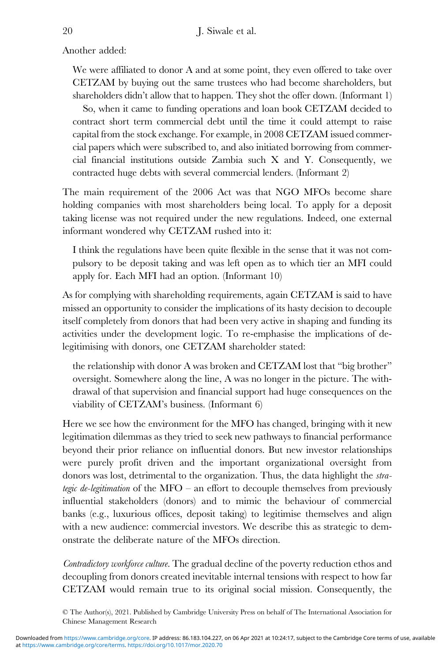Another added:

We were affiliated to donor A and at some point, they even offered to take over CETZAM by buying out the same trustees who had become shareholders, but shareholders didn't allow that to happen. They shot the offer down. (Informant 1)

So, when it came to funding operations and loan book CETZAM decided to contract short term commercial debt until the time it could attempt to raise capital from the stock exchange. For example, in 2008 CETZAM issued commercial papers which were subscribed to, and also initiated borrowing from commercial financial institutions outside Zambia such X and Y. Consequently, we contracted huge debts with several commercial lenders. (Informant 2)

The main requirement of the 2006 Act was that NGO MFOs become share holding companies with most shareholders being local. To apply for a deposit taking license was not required under the new regulations. Indeed, one external informant wondered why CETZAM rushed into it:

I think the regulations have been quite flexible in the sense that it was not compulsory to be deposit taking and was left open as to which tier an MFI could apply for. Each MFI had an option. (Informant 10)

As for complying with shareholding requirements, again CETZAM is said to have missed an opportunity to consider the implications of its hasty decision to decouple itself completely from donors that had been very active in shaping and funding its activities under the development logic. To re-emphasise the implications of delegitimising with donors, one CETZAM shareholder stated:

the relationship with donor A was broken and CETZAM lost that "big brother" oversight. Somewhere along the line, A was no longer in the picture. The withdrawal of that supervision and financial support had huge consequences on the viability of CETZAM's business. (Informant 6)

Here we see how the environment for the MFO has changed, bringing with it new legitimation dilemmas as they tried to seek new pathways to financial performance beyond their prior reliance on influential donors. But new investor relationships were purely profit driven and the important organizational oversight from donors was lost, detrimental to the organization. Thus, the data highlight the *stra*tegic de-legitimation of the MFO – an effort to decouple themselves from previously influential stakeholders (donors) and to mimic the behaviour of commercial banks (e.g., luxurious offices, deposit taking) to legitimise themselves and align with a new audience: commercial investors. We describe this as strategic to demonstrate the deliberate nature of the MFOs direction.

Contradictory workforce culture. The gradual decline of the poverty reduction ethos and decoupling from donors created inevitable internal tensions with respect to how far CETZAM would remain true to its original social mission. Consequently, the

<sup>©</sup> The Author(s), 2021. Published by Cambridge University Press on behalf of The International Association for Chinese Management Research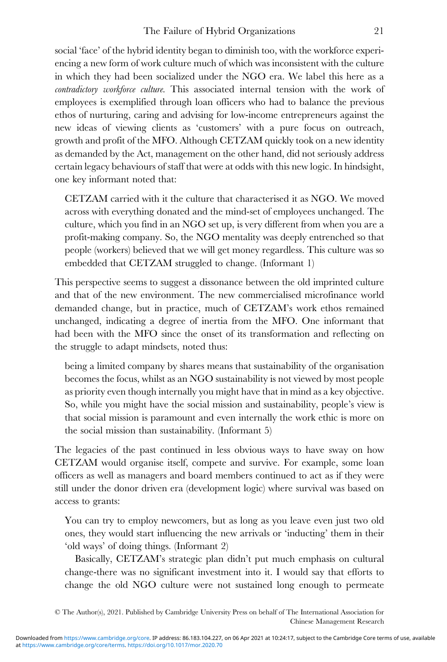social 'face' of the hybrid identity began to diminish too, with the workforce experiencing a new form of work culture much of which was inconsistent with the culture in which they had been socialized under the NGO era. We label this here as a contradictory workforce culture. This associated internal tension with the work of employees is exemplified through loan officers who had to balance the previous ethos of nurturing, caring and advising for low-income entrepreneurs against the new ideas of viewing clients as 'customers' with a pure focus on outreach, growth and profit of the MFO. Although CETZAM quickly took on a new identity as demanded by the Act, management on the other hand, did not seriously address certain legacy behaviours of staff that were at odds with this new logic. In hindsight, one key informant noted that:

CETZAM carried with it the culture that characterised it as NGO. We moved across with everything donated and the mind-set of employees unchanged. The culture, which you find in an NGO set up, is very different from when you are a profit-making company. So, the NGO mentality was deeply entrenched so that people (workers) believed that we will get money regardless. This culture was so embedded that CETZAM struggled to change. (Informant 1)

This perspective seems to suggest a dissonance between the old imprinted culture and that of the new environment. The new commercialised microfinance world demanded change, but in practice, much of CETZAM's work ethos remained unchanged, indicating a degree of inertia from the MFO. One informant that had been with the MFO since the onset of its transformation and reflecting on the struggle to adapt mindsets, noted thus:

being a limited company by shares means that sustainability of the organisation becomes the focus, whilst as an NGO sustainability is not viewed by most people as priority even though internally you might have that in mind as a key objective. So, while you might have the social mission and sustainability, people's view is that social mission is paramount and even internally the work ethic is more on the social mission than sustainability. (Informant 5)

The legacies of the past continued in less obvious ways to have sway on how CETZAM would organise itself, compete and survive. For example, some loan officers as well as managers and board members continued to act as if they were still under the donor driven era (development logic) where survival was based on access to grants:

You can try to employ newcomers, but as long as you leave even just two old ones, they would start influencing the new arrivals or 'inducting' them in their 'old ways' of doing things. (Informant 2)

Basically, CETZAM's strategic plan didn't put much emphasis on cultural change-there was no significant investment into it. I would say that efforts to change the old NGO culture were not sustained long enough to permeate

<sup>©</sup> The Author(s), 2021. Published by Cambridge University Press on behalf of The International Association for Chinese Management Research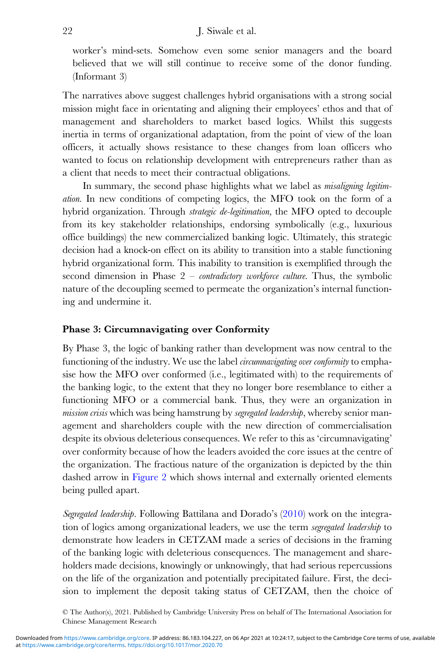worker's mind-sets. Somehow even some senior managers and the board believed that we will still continue to receive some of the donor funding. (Informant 3)

The narratives above suggest challenges hybrid organisations with a strong social mission might face in orientating and aligning their employees' ethos and that of management and shareholders to market based logics. Whilst this suggests inertia in terms of organizational adaptation, from the point of view of the loan officers, it actually shows resistance to these changes from loan officers who wanted to focus on relationship development with entrepreneurs rather than as a client that needs to meet their contractual obligations.

In summary, the second phase highlights what we label as *misaligning legitim*ation. In new conditions of competing logics, the MFO took on the form of a hybrid organization. Through *strategic de-legitimation*, the MFO opted to decouple from its key stakeholder relationships, endorsing symbolically (e.g., luxurious office buildings) the new commercialized banking logic. Ultimately, this strategic decision had a knock-on effect on its ability to transition into a stable functioning hybrid organizational form. This inability to transition is exemplified through the second dimension in Phase  $2$  – *contradictory workforce culture*. Thus, the symbolic nature of the decoupling seemed to permeate the organization's internal functioning and undermine it.

### Phase 3: Circumnavigating over Conformity

By Phase 3, the logic of banking rather than development was now central to the functioning of the industry. We use the label *circumnavigating over conformity* to emphasise how the MFO over conformed (i.e., legitimated with) to the requirements of the banking logic, to the extent that they no longer bore resemblance to either a functioning MFO or a commercial bank. Thus, they were an organization in mission crisis which was being hamstrung by segregated leadership, whereby senior management and shareholders couple with the new direction of commercialisation despite its obvious deleterious consequences. We refer to this as 'circumnavigating' over conformity because of how the leaders avoided the core issues at the centre of the organization. The fractious nature of the organization is depicted by the thin dashed arrow in [Figure 2](#page-15-0) which shows internal and externally oriented elements being pulled apart.

Segregated leadership. Following Battilana and Dorado's ([2010\)](#page-29-0) work on the integration of logics among organizational leaders, we use the term *segregated leadership* to demonstrate how leaders in CETZAM made a series of decisions in the framing of the banking logic with deleterious consequences. The management and shareholders made decisions, knowingly or unknowingly, that had serious repercussions on the life of the organization and potentially precipitated failure. First, the decision to implement the deposit taking status of CETZAM, then the choice of

<sup>©</sup> The Author(s), 2021. Published by Cambridge University Press on behalf of The International Association for Chinese Management Research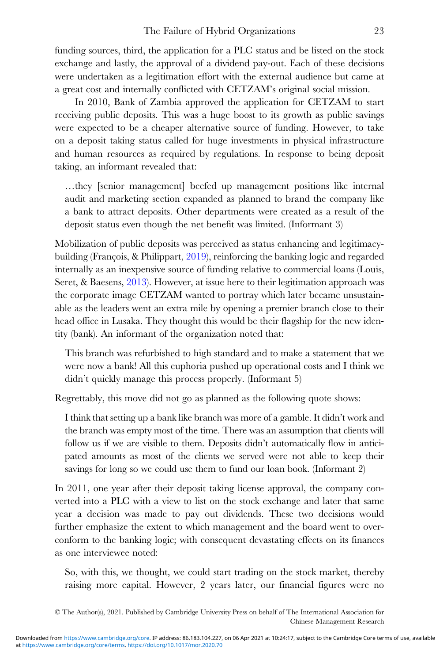funding sources, third, the application for a PLC status and be listed on the stock exchange and lastly, the approval of a dividend pay-out. Each of these decisions were undertaken as a legitimation effort with the external audience but came at a great cost and internally conflicted with CETZAM's original social mission.

In 2010, Bank of Zambia approved the application for CETZAM to start receiving public deposits. This was a huge boost to its growth as public savings were expected to be a cheaper alternative source of funding. However, to take on a deposit taking status called for huge investments in physical infrastructure and human resources as required by regulations. In response to being deposit taking, an informant revealed that:

…they [senior management] beefed up management positions like internal audit and marketing section expanded as planned to brand the company like a bank to attract deposits. Other departments were created as a result of the deposit status even though the net benefit was limited. (Informant 3)

Mobilization of public deposits was perceived as status enhancing and legitimacybuilding (François, & Philippart, [2019](#page-30-0)), reinforcing the banking logic and regarded internally as an inexpensive source of funding relative to commercial loans (Louis, Seret, & Baesens, [2013](#page-31-0)). However, at issue here to their legitimation approach was the corporate image CETZAM wanted to portray which later became unsustainable as the leaders went an extra mile by opening a premier branch close to their head office in Lusaka. They thought this would be their flagship for the new identity (bank). An informant of the organization noted that:

This branch was refurbished to high standard and to make a statement that we were now a bank! All this euphoria pushed up operational costs and I think we didn't quickly manage this process properly. (Informant 5)

Regrettably, this move did not go as planned as the following quote shows:

I think that setting up a bank like branch was more of a gamble. It didn't work and the branch was empty most of the time. There was an assumption that clients will follow us if we are visible to them. Deposits didn't automatically flow in anticipated amounts as most of the clients we served were not able to keep their savings for long so we could use them to fund our loan book. (Informant 2)

In 2011, one year after their deposit taking license approval, the company converted into a PLC with a view to list on the stock exchange and later that same year a decision was made to pay out dividends. These two decisions would further emphasize the extent to which management and the board went to overconform to the banking logic; with consequent devastating effects on its finances as one interviewee noted:

So, with this, we thought, we could start trading on the stock market, thereby raising more capital. However, 2 years later, our financial figures were no

<sup>©</sup> The Author(s), 2021. Published by Cambridge University Press on behalf of The International Association for Chinese Management Research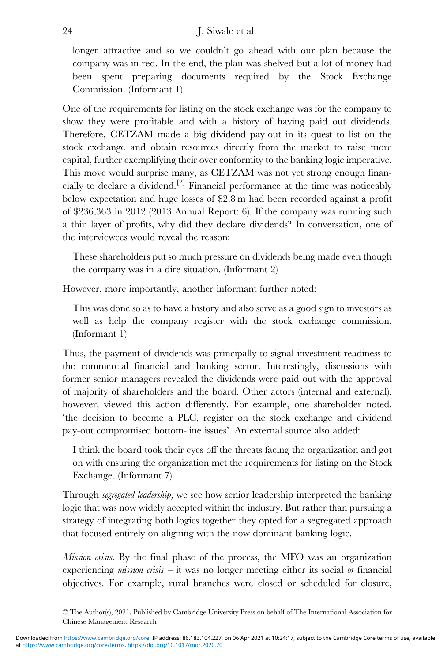# 24 J. Siwale et al.

longer attractive and so we couldn't go ahead with our plan because the company was in red. In the end, the plan was shelved but a lot of money had been spent preparing documents required by the Stock Exchange Commission. (Informant 1)

One of the requirements for listing on the stock exchange was for the company to show they were profitable and with a history of having paid out dividends. Therefore, CETZAM made a big dividend pay-out in its quest to list on the stock exchange and obtain resources directly from the market to raise more capital, further exemplifying their over conformity to the banking logic imperative. This move would surprise many, as CETZAM was not yet strong enough financially to declare a dividend.[[2\]](#page-29-0) Financial performance at the time was noticeably below expectation and huge losses of \$2.8 m had been recorded against a profit of \$236,363 in 2012 (2013 Annual Report: 6). If the company was running such a thin layer of profits, why did they declare dividends? In conversation, one of the interviewees would reveal the reason:

These shareholders put so much pressure on dividends being made even though the company was in a dire situation. (Informant 2)

However, more importantly, another informant further noted:

This was done so as to have a history and also serve as a good sign to investors as well as help the company register with the stock exchange commission. (Informant 1)

Thus, the payment of dividends was principally to signal investment readiness to the commercial financial and banking sector. Interestingly, discussions with former senior managers revealed the dividends were paid out with the approval of majority of shareholders and the board. Other actors (internal and external), however, viewed this action differently. For example, one shareholder noted, 'the decision to become a PLC, register on the stock exchange and dividend pay-out compromised bottom-line issues'. An external source also added:

I think the board took their eyes off the threats facing the organization and got on with ensuring the organization met the requirements for listing on the Stock Exchange. (Informant 7)

Through *segregated leadership*, we see how senior leadership interpreted the banking logic that was now widely accepted within the industry. But rather than pursuing a strategy of integrating both logics together they opted for a segregated approach that focused entirely on aligning with the now dominant banking logic.

*Mission crisis.* By the final phase of the process, the MFO was an organization experiencing *mission crisis* – it was no longer meeting either its social *or* financial objectives. For example, rural branches were closed or scheduled for closure,

<sup>©</sup> The Author(s), 2021. Published by Cambridge University Press on behalf of The International Association for Chinese Management Research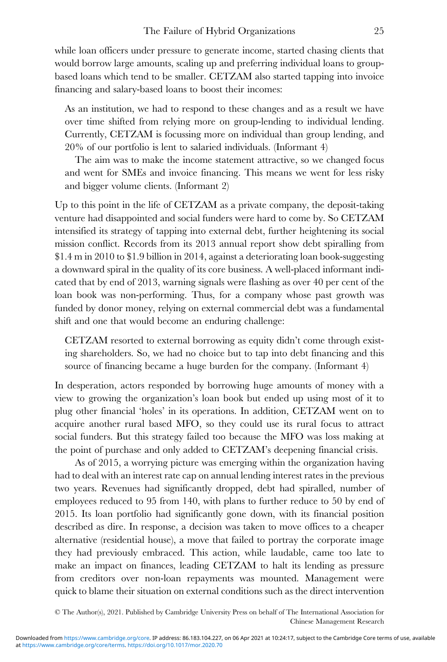while loan officers under pressure to generate income, started chasing clients that would borrow large amounts, scaling up and preferring individual loans to groupbased loans which tend to be smaller. CETZAM also started tapping into invoice financing and salary-based loans to boost their incomes:

As an institution, we had to respond to these changes and as a result we have over time shifted from relying more on group-lending to individual lending. Currently, CETZAM is focussing more on individual than group lending, and 20% of our portfolio is lent to salaried individuals. (Informant 4)

The aim was to make the income statement attractive, so we changed focus and went for SMEs and invoice financing. This means we went for less risky and bigger volume clients. (Informant 2)

Up to this point in the life of CETZAM as a private company, the deposit-taking venture had disappointed and social funders were hard to come by. So CETZAM intensified its strategy of tapping into external debt, further heightening its social mission conflict. Records from its 2013 annual report show debt spiralling from \$1.4 m in 2010 to \$1.9 billion in 2014, against a deteriorating loan book-suggesting a downward spiral in the quality of its core business. A well-placed informant indicated that by end of 2013, warning signals were flashing as over 40 per cent of the loan book was non-performing. Thus, for a company whose past growth was funded by donor money, relying on external commercial debt was a fundamental shift and one that would become an enduring challenge:

CETZAM resorted to external borrowing as equity didn't come through existing shareholders. So, we had no choice but to tap into debt financing and this source of financing became a huge burden for the company. (Informant 4)

In desperation, actors responded by borrowing huge amounts of money with a view to growing the organization's loan book but ended up using most of it to plug other financial 'holes' in its operations. In addition, CETZAM went on to acquire another rural based MFO, so they could use its rural focus to attract social funders. But this strategy failed too because the MFO was loss making at the point of purchase and only added to CETZAM's deepening financial crisis.

As of 2015, a worrying picture was emerging within the organization having had to deal with an interest rate cap on annual lending interest rates in the previous two years. Revenues had significantly dropped, debt had spiralled, number of employees reduced to 95 from 140, with plans to further reduce to 50 by end of 2015. Its loan portfolio had significantly gone down, with its financial position described as dire. In response, a decision was taken to move offices to a cheaper alternative (residential house), a move that failed to portray the corporate image they had previously embraced. This action, while laudable, came too late to make an impact on finances, leading CETZAM to halt its lending as pressure from creditors over non-loan repayments was mounted. Management were quick to blame their situation on external conditions such as the direct intervention

<sup>©</sup> The Author(s), 2021. Published by Cambridge University Press on behalf of The International Association for Chinese Management Research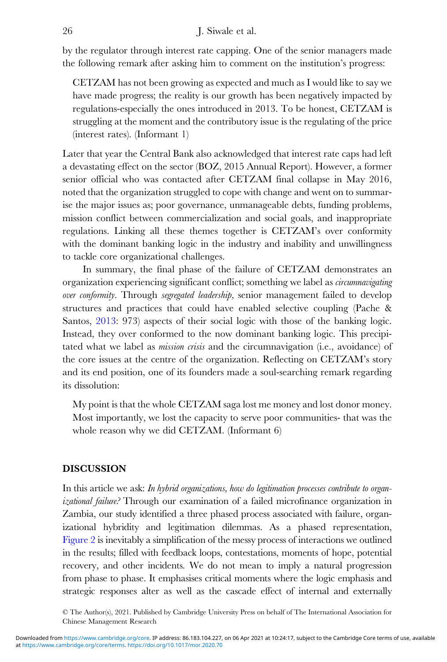by the regulator through interest rate capping. One of the senior managers made the following remark after asking him to comment on the institution's progress:

CETZAM has not been growing as expected and much as I would like to say we have made progress; the reality is our growth has been negatively impacted by regulations-especially the ones introduced in 2013. To be honest, CETZAM is struggling at the moment and the contributory issue is the regulating of the price (interest rates). (Informant 1)

Later that year the Central Bank also acknowledged that interest rate caps had left a devastating effect on the sector (BOZ, 2015 Annual Report). However, a former senior official who was contacted after CETZAM final collapse in May 2016, noted that the organization struggled to cope with change and went on to summarise the major issues as; poor governance, unmanageable debts, funding problems, mission conflict between commercialization and social goals, and inappropriate regulations. Linking all these themes together is CETZAM's over conformity with the dominant banking logic in the industry and inability and unwillingness to tackle core organizational challenges.

In summary, the final phase of the failure of CETZAM demonstrates an organization experiencing significant conflict; something we label as *circumnavigating* over conformity. Through segregated leadership, senior management failed to develop structures and practices that could have enabled selective coupling (Pache & Santos, [2013](#page-32-0): 973) aspects of their social logic with those of the banking logic. Instead, they over conformed to the now dominant banking logic. This precipitated what we label as mission crisis and the circumnavigation (i.e., avoidance) of the core issues at the centre of the organization. Reflecting on CETZAM's story and its end position, one of its founders made a soul-searching remark regarding its dissolution:

My point is that the whole CETZAM saga lost me money and lost donor money. Most importantly, we lost the capacity to serve poor communities- that was the whole reason why we did CETZAM. (Informant 6)

# DISCUSSION

In this article we ask: In hybrid organizations, how do legitimation processes contribute to organizational failure? Through our examination of a failed microfinance organization in Zambia, our study identified a three phased process associated with failure, organizational hybridity and legitimation dilemmas. As a phased representation, [Figure 2](#page-15-0) is inevitably a simplification of the messy process of interactions we outlined in the results; filled with feedback loops, contestations, moments of hope, potential recovery, and other incidents. We do not mean to imply a natural progression from phase to phase. It emphasises critical moments where the logic emphasis and strategic responses alter as well as the cascade effect of internal and externally

<sup>©</sup> The Author(s), 2021. Published by Cambridge University Press on behalf of The International Association for Chinese Management Research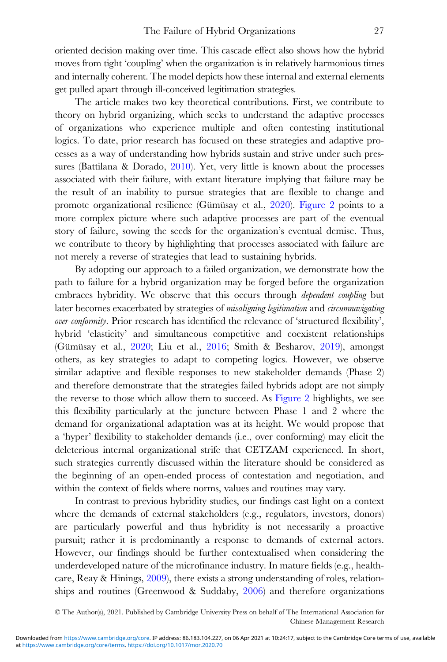oriented decision making over time. This cascade effect also shows how the hybrid moves from tight 'coupling' when the organization is in relatively harmonious times and internally coherent. The model depicts how these internal and external elements get pulled apart through ill-conceived legitimation strategies.

The article makes two key theoretical contributions. First, we contribute to theory on hybrid organizing, which seeks to understand the adaptive processes of organizations who experience multiple and often contesting institutional logics. To date, prior research has focused on these strategies and adaptive processes as a way of understanding how hybrids sustain and strive under such pressures (Battilana & Dorado, [2010](#page-29-0)). Yet, very little is known about the processes associated with their failure, with extant literature implying that failure may be the result of an inability to pursue strategies that are flexible to change and promote organizational resilience (Gümüsay et al., [2020\)](#page-31-0). [Figure 2](#page-15-0) points to a more complex picture where such adaptive processes are part of the eventual story of failure, sowing the seeds for the organization's eventual demise. Thus, we contribute to theory by highlighting that processes associated with failure are not merely a reverse of strategies that lead to sustaining hybrids.

By adopting our approach to a failed organization, we demonstrate how the path to failure for a hybrid organization may be forged before the organization embraces hybridity. We observe that this occurs through *dependent coupling* but later becomes exacerbated by strategies of misaligning legitimation and circumnavigating over-conformity. Prior research has identified the relevance of 'structured flexibility', hybrid 'elasticity' and simultaneous competitive and coexistent relationships (Gümüsay et al., [2020;](#page-31-0) Liu et al., [2016;](#page-31-0) Smith & Besharov, [2019](#page-32-0)), amongst others, as key strategies to adapt to competing logics. However, we observe similar adaptive and flexible responses to new stakeholder demands (Phase 2) and therefore demonstrate that the strategies failed hybrids adopt are not simply the reverse to those which allow them to succeed. As [Figure 2](#page-15-0) highlights, we see this flexibility particularly at the juncture between Phase 1 and 2 where the demand for organizational adaptation was at its height. We would propose that a 'hyper' flexibility to stakeholder demands (i.e., over conforming) may elicit the deleterious internal organizational strife that CETZAM experienced. In short, such strategies currently discussed within the literature should be considered as the beginning of an open-ended process of contestation and negotiation, and within the context of fields where norms, values and routines may vary.

In contrast to previous hybridity studies, our findings cast light on a context where the demands of external stakeholders (e.g., regulators, investors, donors) are particularly powerful and thus hybridity is not necessarily a proactive pursuit; rather it is predominantly a response to demands of external actors. However, our findings should be further contextualised when considering the underdeveloped nature of the microfinance industry. In mature fields (e.g., healthcare, Reay & Hinings, [2009](#page-32-0)), there exists a strong understanding of roles, relationships and routines (Greenwood & Suddaby, [2006](#page-31-0)) and therefore organizations

<sup>©</sup> The Author(s), 2021. Published by Cambridge University Press on behalf of The International Association for Chinese Management Research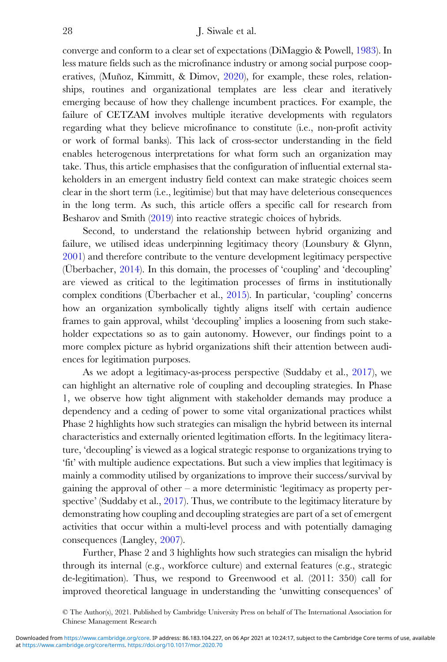converge and conform to a clear set of expectations (DiMaggio & Powell, [1983\)](#page-30-0). In less mature fields such as the microfinance industry or among social purpose cooperatives, (Muñoz, Kimmitt, & Dimov, [2020](#page-32-0)), for example, these roles, relationships, routines and organizational templates are less clear and iteratively emerging because of how they challenge incumbent practices. For example, the failure of CETZAM involves multiple iterative developments with regulators regarding what they believe microfinance to constitute (i.e., non-profit activity or work of formal banks). This lack of cross-sector understanding in the field enables heterogenous interpretations for what form such an organization may take. Thus, this article emphasises that the configuration of influential external stakeholders in an emergent industry field context can make strategic choices seem clear in the short term (i.e., legitimise) but that may have deleterious consequences in the long term. As such, this article offers a specific call for research from Besharov and Smith ([2019\)](#page-32-0) into reactive strategic choices of hybrids.

Second, to understand the relationship between hybrid organizing and failure, we utilised ideas underpinning legitimacy theory (Lounsbury & Glynn, [2001](#page-31-0)) and therefore contribute to the venture development legitimacy perspective (Überbacher, [2014\)](#page-33-0). In this domain, the processes of 'coupling' and 'decoupling' are viewed as critical to the legitimation processes of firms in institutionally complex conditions (Überbacher et al., [2015](#page-33-0)). In particular, 'coupling' concerns how an organization symbolically tightly aligns itself with certain audience frames to gain approval, whilst 'decoupling' implies a loosening from such stakeholder expectations so as to gain autonomy. However, our findings point to a more complex picture as hybrid organizations shift their attention between audiences for legitimation purposes.

As we adopt a legitimacy-as-process perspective (Suddaby et al., [2017\)](#page-32-0), we can highlight an alternative role of coupling and decoupling strategies. In Phase 1, we observe how tight alignment with stakeholder demands may produce a dependency and a ceding of power to some vital organizational practices whilst Phase 2 highlights how such strategies can misalign the hybrid between its internal characteristics and externally oriented legitimation efforts. In the legitimacy literature, 'decoupling' is viewed as a logical strategic response to organizations trying to 'fit' with multiple audience expectations. But such a view implies that legitimacy is mainly a commodity utilised by organizations to improve their success/survival by gaining the approval of other – a more deterministic 'legitimacy as property per-spective' (Suddaby et al., [2017](#page-32-0)). Thus, we contribute to the legitimacy literature by demonstrating how coupling and decoupling strategies are part of a set of emergent activities that occur within a multi-level process and with potentially damaging consequences (Langley, [2007](#page-31-0)).

Further, Phase 2 and 3 highlights how such strategies can misalign the hybrid through its internal (e.g., workforce culture) and external features (e.g., strategic de-legitimation). Thus, we respond to Greenwood et al. (2011: 350) call for improved theoretical language in understanding the 'unwitting consequences' of

<sup>©</sup> The Author(s), 2021. Published by Cambridge University Press on behalf of The International Association for Chinese Management Research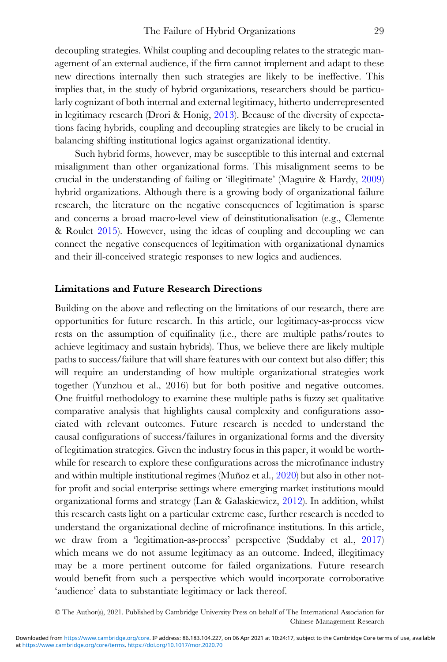decoupling strategies. Whilst coupling and decoupling relates to the strategic management of an external audience, if the firm cannot implement and adapt to these new directions internally then such strategies are likely to be ineffective. This implies that, in the study of hybrid organizations, researchers should be particularly cognizant of both internal and external legitimacy, hitherto underrepresented in legitimacy research (Drori & Honig, [2013\)](#page-30-0). Because of the diversity of expectations facing hybrids, coupling and decoupling strategies are likely to be crucial in balancing shifting institutional logics against organizational identity.

Such hybrid forms, however, may be susceptible to this internal and external misalignment than other organizational forms. This misalignment seems to be crucial in the understanding of failing or 'illegitimate' (Maguire & Hardy, [2009](#page-31-0)) hybrid organizations. Although there is a growing body of organizational failure research, the literature on the negative consequences of legitimation is sparse and concerns a broad macro-level view of deinstitutionalisation (e.g., Clemente & Roulet [2015\)](#page-30-0). However, using the ideas of coupling and decoupling we can connect the negative consequences of legitimation with organizational dynamics and their ill-conceived strategic responses to new logics and audiences.

# Limitations and Future Research Directions

Building on the above and reflecting on the limitations of our research, there are opportunities for future research. In this article, our legitimacy-as-process view rests on the assumption of equifinality (i.e., there are multiple paths/routes to achieve legitimacy and sustain hybrids). Thus, we believe there are likely multiple paths to success/failure that will share features with our context but also differ; this will require an understanding of how multiple organizational strategies work together (Yunzhou et al., 2016) but for both positive and negative outcomes. One fruitful methodology to examine these multiple paths is fuzzy set qualitative comparative analysis that highlights causal complexity and configurations associated with relevant outcomes. Future research is needed to understand the causal configurations of success/failures in organizational forms and the diversity of legitimation strategies. Given the industry focus in this paper, it would be worthwhile for research to explore these configurations across the microfinance industry and within multiple institutional regimes (Muñoz et al., [2020](#page-32-0)) but also in other notfor profit and social enterprise settings where emerging market institutions mould organizational forms and strategy (Lan & Galaskiewicz, [2012](#page-31-0)). In addition, whilst this research casts light on a particular extreme case, further research is needed to understand the organizational decline of microfinance institutions. In this article, we draw from a 'legitimation-as-process' perspective (Suddaby et al., [2017](#page-32-0)) which means we do not assume legitimacy as an outcome. Indeed, illegitimacy may be a more pertinent outcome for failed organizations. Future research would benefit from such a perspective which would incorporate corroborative 'audience' data to substantiate legitimacy or lack thereof.

© The Author(s), 2021. Published by Cambridge University Press on behalf of The International Association for Chinese Management Research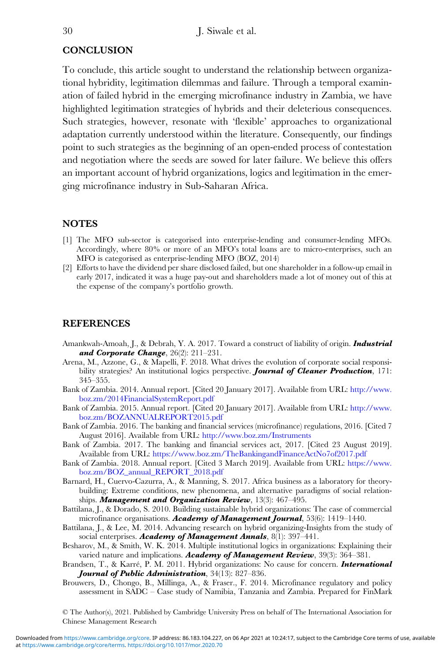# <span id="page-29-0"></span>**CONCLUSION**

To conclude, this article sought to understand the relationship between organizational hybridity, legitimation dilemmas and failure. Through a temporal examination of failed hybrid in the emerging microfinance industry in Zambia, we have highlighted legitimation strategies of hybrids and their deleterious consequences. Such strategies, however, resonate with 'flexible' approaches to organizational adaptation currently understood within the literature. Consequently, our findings point to such strategies as the beginning of an open-ended process of contestation and negotiation where the seeds are sowed for later failure. We believe this offers an important account of hybrid organizations, logics and legitimation in the emerging microfinance industry in Sub-Saharan Africa.

# **NOTES**

- [1] The MFO sub-sector is categorised into enterprise-lending and consumer-lending MFOs. Accordingly, where 80% or more of an MFO's total loans are to micro-enterprises, such an MFO is categorised as enterprise-lending MFO (BOZ, 2014)
- [2] Efforts to have the dividend per share disclosed failed, but one shareholder in a follow-up email in early 2017, indicated it was a huge pay-out and shareholders made a lot of money out of this at the expense of the company's portfolio growth.

# REFERENCES

- Amankwah-Amoah, J., & Debrah, Y. A. 2017. Toward a construct of liability of origin. *Industrial* and Corporate Change,  $26(2)$ :  $211-231$ .
- Arena, M., Azzone, G., & Mapelli, F. 2018. What drives the evolution of corporate social responsibility strategies? An institutional logics perspective. **Journal of Cleaner Production**, 171: 345–355.
- Bank of Zambia. 2014. Annual report. [Cited 20 January 2017]. Available from URL: [http://www.](http://www.boz.zm/2014FinancialSystemReport.pdf) [boz.zm/2014FinancialSystemReport.pdf](http://www.boz.zm/2014FinancialSystemReport.pdf)
- Bank of Zambia. 2015. Annual report. [Cited 20 January 2017]. Available from URL: [http://www.](http://www.boz.zm/BOZANNUALREPORT2015.pdf) [boz.zm/BOZANNUALREPORT2015.pdf](http://www.boz.zm/BOZANNUALREPORT2015.pdf)
- Bank of Zambia. 2016. The banking and financial services (microfinance) regulations, 2016. [Cited 7 August 2016]. Available from URL: <http://www.boz.zm/Instruments>
- Bank of Zambia. 2017. The banking and financial services act, 2017. [Cited 23 August 2019]. Available from URL: <https://www.boz.zm/TheBankingandFinanceActNo7of2017.pdf>
- Bank of Zambia. 2018. Annual report. [Cited 3 March 2019]. Available from URL: [https://www.](https://www.boz.zm/BOZ_annual_REPORT_2018.pdf) [boz.zm/BOZ\\_annual\\_REPORT\\_2018.pdf](https://www.boz.zm/BOZ_annual_REPORT_2018.pdf)
- Barnard, H., Cuervo-Cazurra, A., & Manning, S. 2017. Africa business as a laboratory for theorybuilding: Extreme conditions, new phenomena, and alternative paradigms of social relationships. Management and Organization Review, 13(3): 467-495.
- Battilana, J., & Dorado, S. 2010. Building sustainable hybrid organizations: The case of commercial microfinance organisations. **Academy of Management Journal**, 53(6): 1419–1440.
- Battilana, J., & Lee, M. 2014. Advancing research on hybrid organizing-Insights from the study of social enterprises. Academy of Management Annals, 8(1): 397-441.
- Besharov, M., & Smith, W. K. 2014. Multiple institutional logics in organizations: Explaining their varied nature and implications. Academy of Management Review, 39(3): 364–381.
- Brandsen, T., & Karré, P. M. 2011. Hybrid organizations: No cause for concern. *International* Journal of Public Administration, 34(13): 827-836.
- Brouwers, D., Chongo, B., Millinga, A., & Fraser., F. 2014. Microfinance regulatory and policy assessment in SADC – Case study of Namibia, Tanzania and Zambia. Prepared for FinMark

© The Author(s), 2021. Published by Cambridge University Press on behalf of The International Association for Chinese Management Research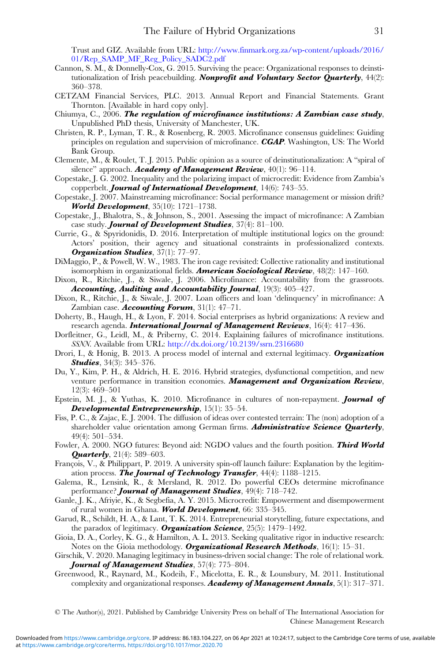Trust and GIZ. Available from URL: [http://www.finmark.org.za/wp-content/uploads/2016/](http://www.finmark.org.za/wp-content/uploads/2016/01/Rep_SAMP_MF_Reg_Policy_SADC2.pdf) [01/Rep\\_SAMP\\_MF\\_Reg\\_Policy\\_SADC2.pdf](http://www.finmark.org.za/wp-content/uploads/2016/01/Rep_SAMP_MF_Reg_Policy_SADC2.pdf)

- <span id="page-30-0"></span>Cannon, S. M., & Donnelly-Cox, G. 2015. Surviving the peace: Organizational responses to deinstitutionalization of Irish peacebuilding. *Nonprofit and Voluntary Sector Quarterly*, 44(2): 360–378.
- CETZAM Financial Services, PLC. 2013. Annual Report and Financial Statements. Grant Thornton. [Available in hard copy only].
- Chiumya, C., 2006. The regulation of microfinance institutions: A Zambian case study, Unpublished PhD thesis, University of Manchester, UK.
- Christen, R. P., Lyman, T. R., & Rosenberg, R. 2003. Microfinance consensus guidelines: Guiding principles on regulation and supervision of microfinance. CGAP. Washington, US: The World Bank Group.
- Clemente, M., & Roulet, T. J. 2015. Public opinion as a source of deinstitutionalization: A "spiral of silence" approach. **Academy of Management Review**, 40(1): 96-114.
- Copestake, J. G. 2002. Inequality and the polarizing impact of microcredit: Evidence from Zambia's copperbelt. **Journal of International Development**, 14(6): 743–55.
- Copestake, J. 2007. Mainstreaming microfinance: Social performance management or mission drift? **World Development**, 35(10): 1721–1738.
- Copestake, J., Bhalotra, S., & Johnson, S., 2001. Assessing the impact of microfinance: A Zambian case study. **Journal of Development Studies**, 37(4): 81-100.
- Currie, G., & Spyridonidis, D. 2016. Interpretation of multiple institutional logics on the ground: Actors' position, their agency and situational constraints in professionalized contexts. Organization Studies, 37(1): 77-97.
- DiMaggio, P., & Powell, W. W., 1983. The iron cage revisited: Collective rationality and institutional isomorphism in organizational fields. **American Sociological Review**,  $48(2)$ :  $147-160$ .
- Dixon, R., Ritchie, J., & Siwale, J. 2006. Microfinance: Accountability from the grassroots. Accounting, Auditing and Accountability Journal, 19(3): 405–427.
- Dixon, R., Ritchie, J., & Siwale, J. 2007. Loan officers and loan 'delinquency' in microfinance: A Zambian case. **Accounting Forum**,  $31(1): 47-71$ .
- Doherty, B., Haugh, H., & Lyon, F. 2014. Social enterprises as hybrid organizations: A review and research agenda. **International Journal of Management Reviews**,  $16(4)$ :  $417-436$ .
- Dorfleitner, G., Leidl, M., & Priberny, C. 2014. Explaining failures of microfinance institutions. SSNN. Available from URL: <http://dx.doi.org/10.2139/ssrn.2316680>
- Drori, I., & Honig, B. 2013. A process model of internal and external legitimacy. Organization **Studies**, 34(3): 345–376.
- Du, Y., Kim, P. H., & Aldrich, H. E. 2016. Hybrid strategies, dysfunctional competition, and new venture performance in transition economies. Management and Organization Review, 12(3): 469–501
- Epstein, M. J., & Yuthas, K. 2010. Microfinance in cultures of non-repayment. Journal of Developmental Entrepreneurship,  $15(1)$ :  $35-54$ .
- Fiss, P. C., & Zajac, E. J. 2004. The diffusion of ideas over contested terrain: The (non) adoption of a shareholder value orientation among German firms. Administrative Science Quarterly, 49(4): 501–534.
- Fowler, A. 2000. NGO futures: Beyond aid: NGDO values and the fourth position. **Third World Quarterly**,  $21(4)$ : 589–603.
- François, V., & Philippart, P. 2019. A university spin-off launch failure: Explanation by the legitimation process. The Journal of Technology Transfer, 44(4): 1188-1215.
- Galema, R., Lensink, R., & Mersland, R. 2012. Do powerful CEOs determine microfinance performance? **Journal of Management Studies**, 49(4): 718–742.
- Ganle, J. K., Afriyie, K., & Segbefia, A. Y. 2015. Microcredit: Empowerment and disempowerment of rural women in Ghana. World Development, 66: 335-345.
- Garud, R., Schildt, H. A., & Lant, T. K. 2014. Entrepreneurial storytelling, future expectations, and the paradox of legitimacy. **Organization Science**, 25(5): 1479–1492.
- Gioia, D. A., Corley, K. G., & Hamilton, A. L. 2013. Seeking qualitative rigor in inductive research: Notes on the Gioia methodology. **Organizational Research Methods**,  $16(1)$ :  $15-31$ .
- Girschik, V. 2020. Managing legitimacy in business-driven social change: The role of relational work. Journal of Management Studies, 57(4): 775-804.
- Greenwood, R., Raynard, M., Kodeih, F., Micelotta, E. R., & Lounsbury, M. 2011. Institutional complexity and organizational responses. Academy of Management Annals,  $5(1)$ :  $317-371$ .

© The Author(s), 2021. Published by Cambridge University Press on behalf of The International Association for Chinese Management Research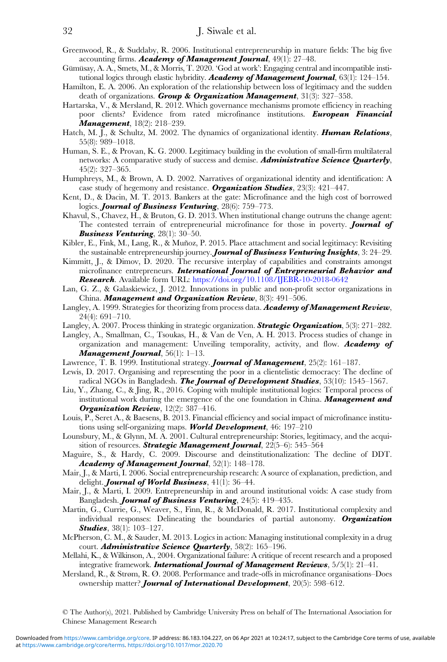- <span id="page-31-0"></span>Greenwood, R., & Suddaby, R. 2006. Institutional entrepreneurship in mature fields: The big five accounting firms. Academy of Management Journal,  $49(1): 27-48$ .
- Gümüsay, A. A., Smets, M., & Morris, T. 2020. 'God at work': Engaging central and incompatible institutional logics through elastic hybridity. **Academy of Management Journal**,  $63(1)$ : 124–154.
- Hamilton, E. A. 2006. An exploration of the relationship between loss of legitimacy and the sudden death of organizations. Group & Organization Management,  $31(3)$ :  $327-358$ .
- Hartarska, V., & Mersland, R. 2012. Which governance mechanisms promote efficiency in reaching poor clients? Evidence from rated microfinance institutions. European Financial Management, 18(2): 218–239.
- Hatch, M. J., & Schultz, M. 2002. The dynamics of organizational identity. **Human Relations**, 55(8): 989–1018.
- Human, S. E., & Provan, K. G. 2000. Legitimacy building in the evolution of small-firm multilateral networks: A comparative study of success and demise. **Administrative Science Quarterly**, 45(2): 327–365.
- Humphreys, M., & Brown, A. D. 2002. Narratives of organizational identity and identification: A case study of hegemony and resistance. **Organization Studies**,  $23(3)$ :  $421-447$ .
- Kent, D., & Dacin, M. T. 2013. Bankers at the gate: Microfinance and the high cost of borrowed logics. **Journal of Business Venturing**, 28(6): 759-773.
- Khavul, S., Chavez, H., & Bruton, G. D. 2013. When institutional change outruns the change agent: The contested terrain of entrepreneurial microfinance for those in poverty. **Journal of** Business Venturing, 28(1): 30-50.
- Kibler, E., Fink, M., Lang, R., & Muñoz, P. 2015. Place attachment and social legitimacy: Revisiting the sustainable entrepreneurship journey. Journal of Business Venturing Insights, 3: 24–29.
- Kimmitt, J., & Dimov, D. 2020. The recursive interplay of capabilities and constraints amongst microfinance entrepreneurs. International Journal of Entrepreneurial Behavior and Research. Available form URL: <https://doi.org/10.1108/IJEBR-10-2018-0642>
- Lan, G. Z., & Galaskiewicz, J. 2012. Innovations in public and non-profit sector organizations in China. **Management and Organization Review**,  $8(3)$ :  $491-506$ .
- Langley, A. 1999. Strategies for theorizing from process data. Academy of Management Review, 24(4): 691–710.
- Langley, A. 2007. Process thinking in strategic organization. **Strategic Organization**, 5(3): 271–282.
- Langley, A., Smallman, C., Tsoukas, H., & Van de Ven, A. H. 2013. Process studies of change in organization and management: Unveiling temporality, activity, and flow. **Academy of Management Journal**,  $56(1)$ :  $1-13$ .
- Lawrence, T. B. 1999. Institutional strategy. *Journal of Management*, 25(2): 161-187.
- Lewis, D. 2017. Organising and representing the poor in a clientelistic democracy: The decline of radical NGOs in Bangladesh. **The Journal of Development Studies**,  $53(10)$ : 1545–1567.
- Liu, Y., Zhang, C., & Jing, R., 2016. Coping with multiple institutional logics: Temporal process of institutional work during the emergence of the one foundation in China. **Management and Organization Review**,  $12(2)$ :  $387-416$ .
- Louis, P., Seret A., & Baesens, B. 2013. Financial efficiency and social impact of microfinance institutions using self-organizing maps. World Development, 46: 197-210
- Lounsbury, M., & Glynn, M. A. 2001. Cultural entrepreneurship: Stories, legitimacy, and the acquisition of resources. **Strategic Management Journal**,  $22(5-6)$ :  $545-564$
- Maguire, S., & Hardy, C. 2009. Discourse and deinstitutionalization: The decline of DDT. Academy of Management Journal, 52(1): 148–178.
- Mair, J., & Marti, I. 2006. Social entrepreneurship research: A source of explanation, prediction, and delight. **Journal of World Business**,  $41(1)$ :  $36-44$ .
- Mair, J., & Marti, I. 2009. Entrepreneurship in and around institutional voids: A case study from Bangladesh. *Journal of Business Venturing*, 24(5): 419–435.
- Martin, G., Currie, G., Weaver, S., Finn, R., & McDonald, R. 2017. Institutional complexity and individual responses: Delineating the boundaries of partial autonomy. Organization **Studies**, 38(1): 103-127.
- McPherson, C. M., & Sauder, M. 2013. Logics in action: Managing institutional complexity in a drug court. **Administrative Science Quarterly**,  $58(2)$ :  $165-196$ .
- Mellahi, K., & Wilkinson, A., 2004. Organizational failure: A critique of recent research and a proposed integrative framework. **International Journal of Management Reviews**,  $5/5(1)$ :  $21-41$ .
- Mersland, R., & Strøm, R. Ø. 2008. Performance and trade-offs in microfinance organisations–Does ownership matter? **Journal of International Development**, 20(5): 598–612.

© The Author(s), 2021. Published by Cambridge University Press on behalf of The International Association for Chinese Management Research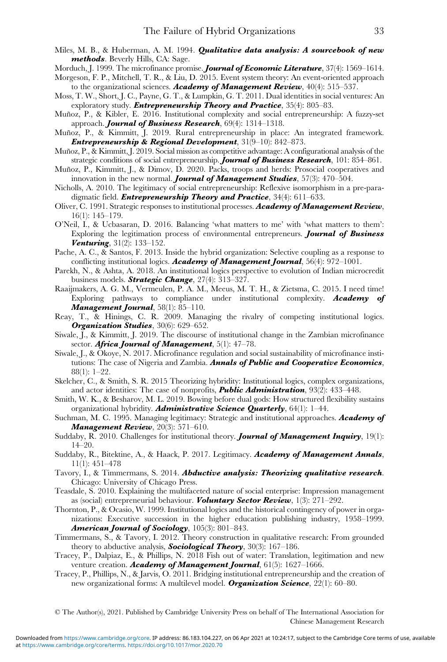- <span id="page-32-0"></span>Miles, M. B., & Huberman, A. M. 1994. *Qualitative data analysis: A sourcebook of new* methods. Beverly Hills, CA: Sage.
- Morduch, J. 1999. The microfinance promise. **Journal of Economic Literature**, 37(4): 1569–1614.
- Morgeson, F. P., Mitchell, T. R., & Liu, D. 2015. Event system theory: An event-oriented approach to the organizational sciences. Academy of Management Review,  $40(4)$ : 515-537.
- Moss, T. W., Short, J. C., Payne, G. T., & Lumpkin, G. T. 2011. Dual identities in social ventures: An exploratory study. **Entrepreneurship Theory and Practice**,  $35(4)$ :  $805-83$ .
- Muñoz, P., & Kibler, E. 2016. Institutional complexity and social entrepreneurship: A fuzzy-set approach. **Journal of Business Research**,  $69(4)$ :  $1314-1318$ .
- Muñoz, P., & Kimmitt, J. 2019. Rural entrepreneurship in place: An integrated framework. Entrepreneurship & Regional Development, 31(9–10): 842–873.
- Muñoz, P., & Kimmitt, J. 2019. Social mission as competitive advantage: A configurational analysis of the strategic conditions of social entrepreneurship. **Journal of Business Research**, 101: 854–861.
- Muñoz, P., Kimmitt, J., & Dimov, D. 2020. Packs, troops and herds: Prosocial cooperatives and innovation in the new normal. **Journal of Management Studies**,  $57(3)$ :  $470-504$ .
- Nicholls, A. 2010. The legitimacy of social entrepreneurship: Reflexive isomorphism in a pre-paradigmatic field. **Entrepreneurship Theory and Practice**, 34(4): 611–633.
- Oliver, C. 1991. Strategic responses to institutional processes. Academy of Management Review, 16(1): 145–179.
- O'Neil, I., & Ucbasaran, D. 2016. Balancing 'what matters to me' with 'what matters to them': Exploring the legitimation process of environmental entrepreneurs. **Journal of Business Venturing**,  $31(2)$ :  $133-152$ .
- Pache, A. C., & Santos, F. 2013. Inside the hybrid organization: Selective coupling as a response to conflicting institutional logics. Academy of Management Journal,  $56(4)$ : 972–1001.
- Parekh, N., & Ashta, A. 2018. An institutional logics perspective to evolution of Indian microcredit business models. **Strategic Change**,  $27(4)$ :  $313-327$ .
- Raaijmakers, A. G. M., Vermeulen, P. A. M., Meeus, M. T. H., & Zietsma, C. 2015. I need time! Exploring pathways to compliance under institutional complexity. **Academy of** Management Journal, 58(1): 85-110.
- Reay, T., & Hinings, C. R. 2009. Managing the rivalry of competing institutional logics. **Organization Studies**, 30(6): 629–652.
- Siwale, J., & Kimmitt, J. 2019. The discourse of institutional change in the Zambian microfinance sector. **Africa Journal of Management**,  $5(1)$ :  $47-78$ .
- Siwale, J., & Okoye, N. 2017. Microfinance regulation and social sustainability of microfinance institutions: The case of Nigeria and Zambia. Annals of Public and Cooperative Economics, 88(1): 1–22.
- Skelcher, C., & Smith, S. R. 2015 Theorizing hybridity: Institutional logics, complex organizations, and actor identities: The case of nonprofits, **Public Administration**, 93(2):  $433-448$ .
- Smith, W. K., & Besharov, M. L. 2019. Bowing before dual gods: How structured flexibility sustains organizational hybridity. **Administrative Science Quarterly**,  $64(1)$ : 1–44.
- Suchman, M. C. 1995. Managing legitimacy: Strategic and institutional approaches. Academy of **Management Review**,  $20(3)$ :  $571-610$ .
- Suddaby, R. 2010. Challenges for institutional theory. **Journal of Management Inquiry**, 19(1): 14–20.
- Suddaby, R., Bitektine, A., & Haack, P. 2017. Legitimacy. Academy of Management Annals, 11(1): 451–478
- Tavory, I., & Timmermans, S. 2014. Abductive analysis: Theorizing qualitative research. Chicago: University of Chicago Press.
- Teasdale, S. 2010. Explaining the multifaceted nature of social enterprise: Impression management as (social) entrepreneurial behaviour. Voluntary Sector Review,  $1(3)$ : 271–292.
- Thornton, P., & Ocasio, W. 1999. Institutional logics and the historical contingency of power in organizations: Executive succession in the higher education publishing industry, 1958–1999. American Journal of Sociology, 105(3): 801-843.
- Timmermans, S., & Tavory, I. 2012. Theory construction in qualitative research: From grounded theory to abductive analysis, **Sociological Theory**,  $30(3)$ :  $167-186$ .
- Tracey, P., Dalpiaz, E., & Phillips, N. 2018 Fish out of water: Translation, legitimation and new venture creation. Academy of Management Journal, 61(5): 1627-1666.
- Tracey, P., Phillips, N., & Jarvis, O. 2011. Bridging institutional entrepreneurship and the creation of new organizational forms: A multilevel model. Organization Science, 22(1): 60–80.

© The Author(s), 2021. Published by Cambridge University Press on behalf of The International Association for Chinese Management Research